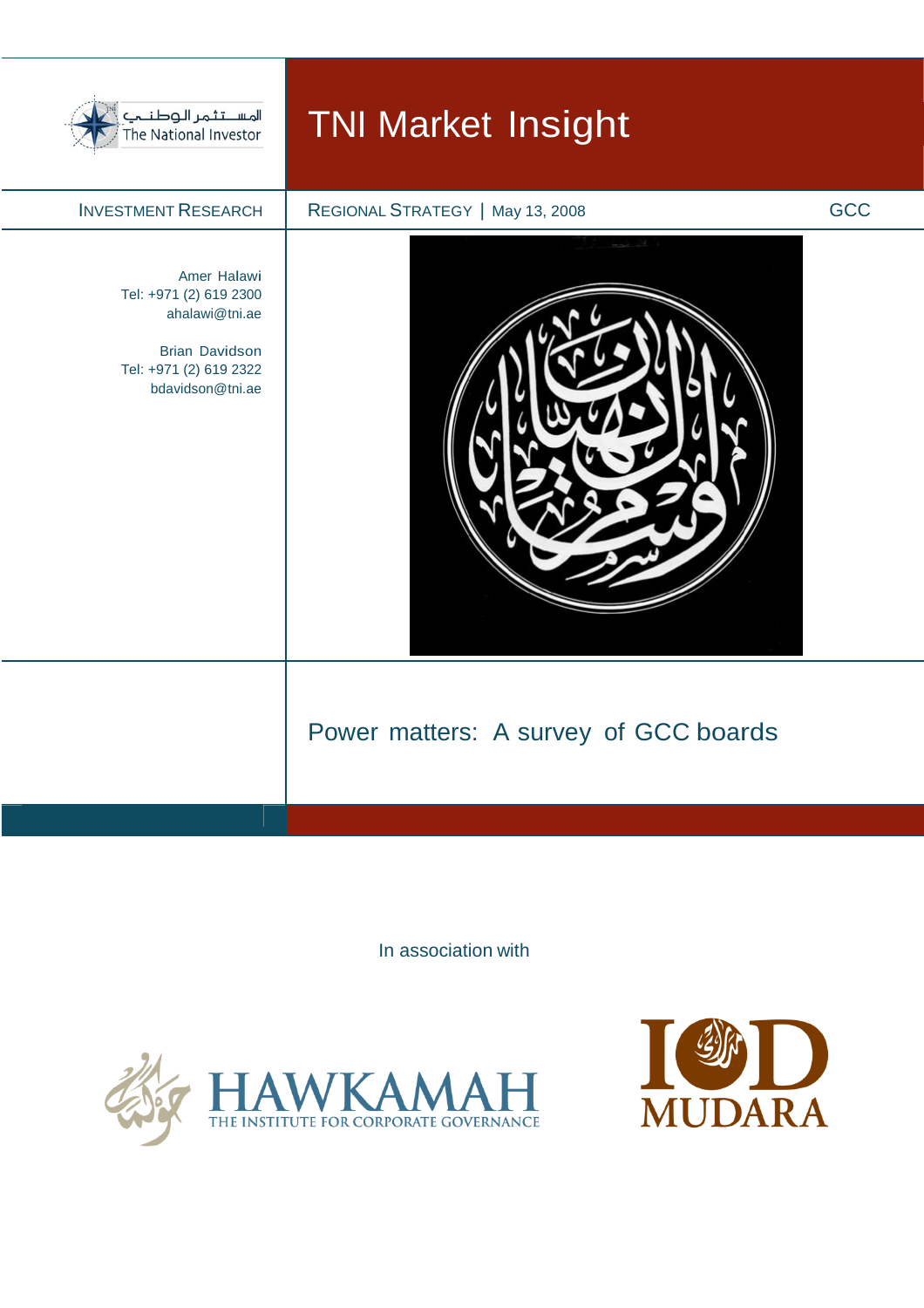

# TNI Market Insight

## INVESTMENT RESEARCH | REGIONAL STRATEGY | May 13, 2008

Amer Halawi Tel: +971 (2) 619 230[0](mailto:ahalawi@tni.ae) [ahalawi@tni.ae](mailto:ahalawi@tni.ae)

Brian Davidson Tel: +971 (2) 619 232[2](mailto:bdavidson@tni.ae) [bdavidson@tni.ae](mailto:bdavidson@tni.ae)



## Power matters: A survey of GCC boards

In association with



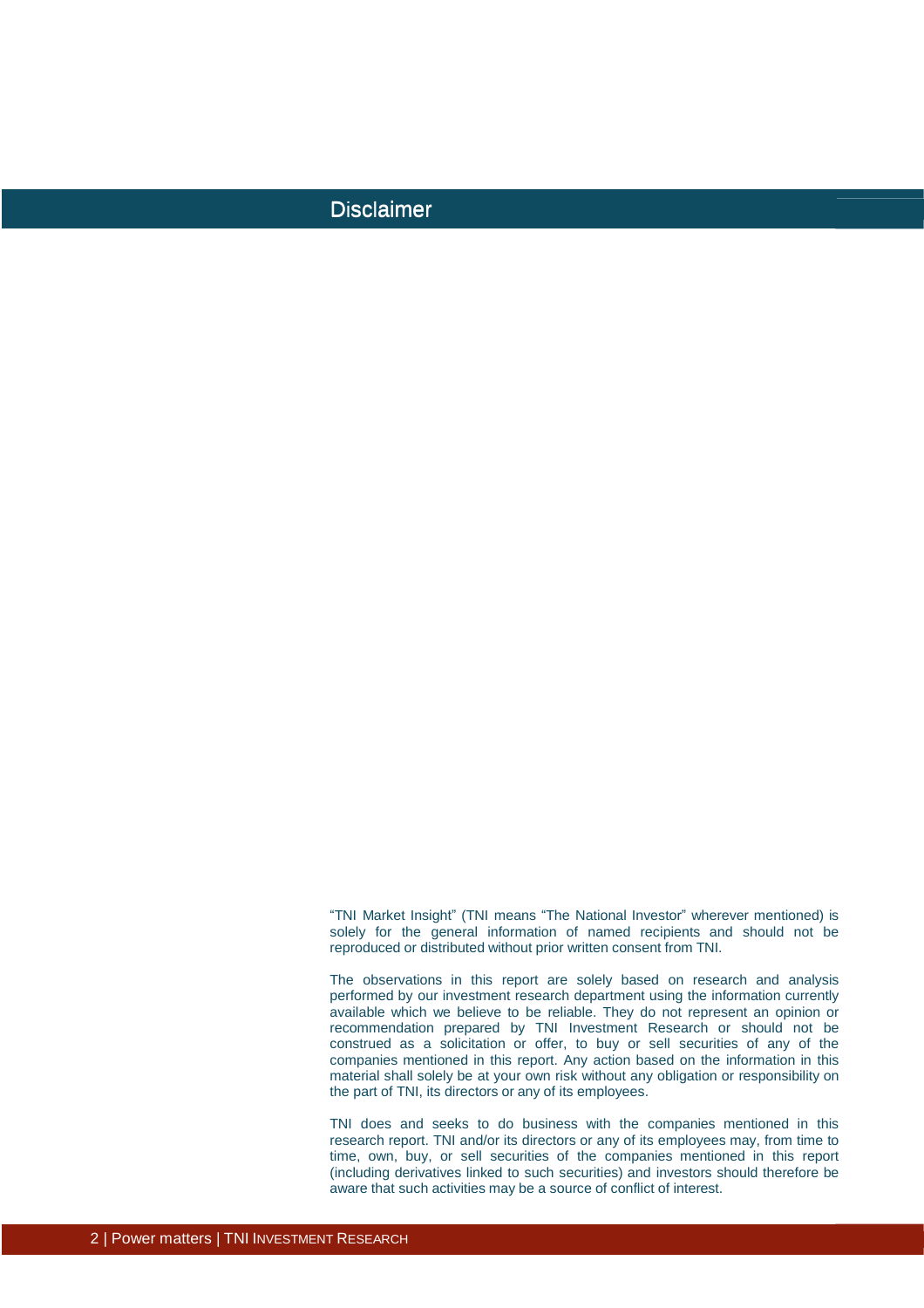### Disclaimer

"TNI Market Insight" (TNI means "The National Investor" wherever mentioned) is solely for the general information of named recipients and should not be reproduced or distributed without prior written consent from TNI.

The observations in this report are solely based on research and analysis performed by our investment research department using the information currently available which we believe to be reliable. They do not represent an opinion or recommendation prepared by TNI Investment Research or should not be construed as a solicitation or offer, to buy or sell securities of any of the companies mentioned in this report. Any action based on the information in this material shall solely be at your own risk without any obligation or responsibility on the part of TNI, its directors or any of its employees.

TNI does and seeks to do business with the companies mentioned in this research report. TNI and/or its directors or any of its employees may, from time to time, own, buy, or sell securities of the companies mentioned in this report (including derivatives linked to such securities) and investors should therefore be aware that such activities may be a source of conflict of interest.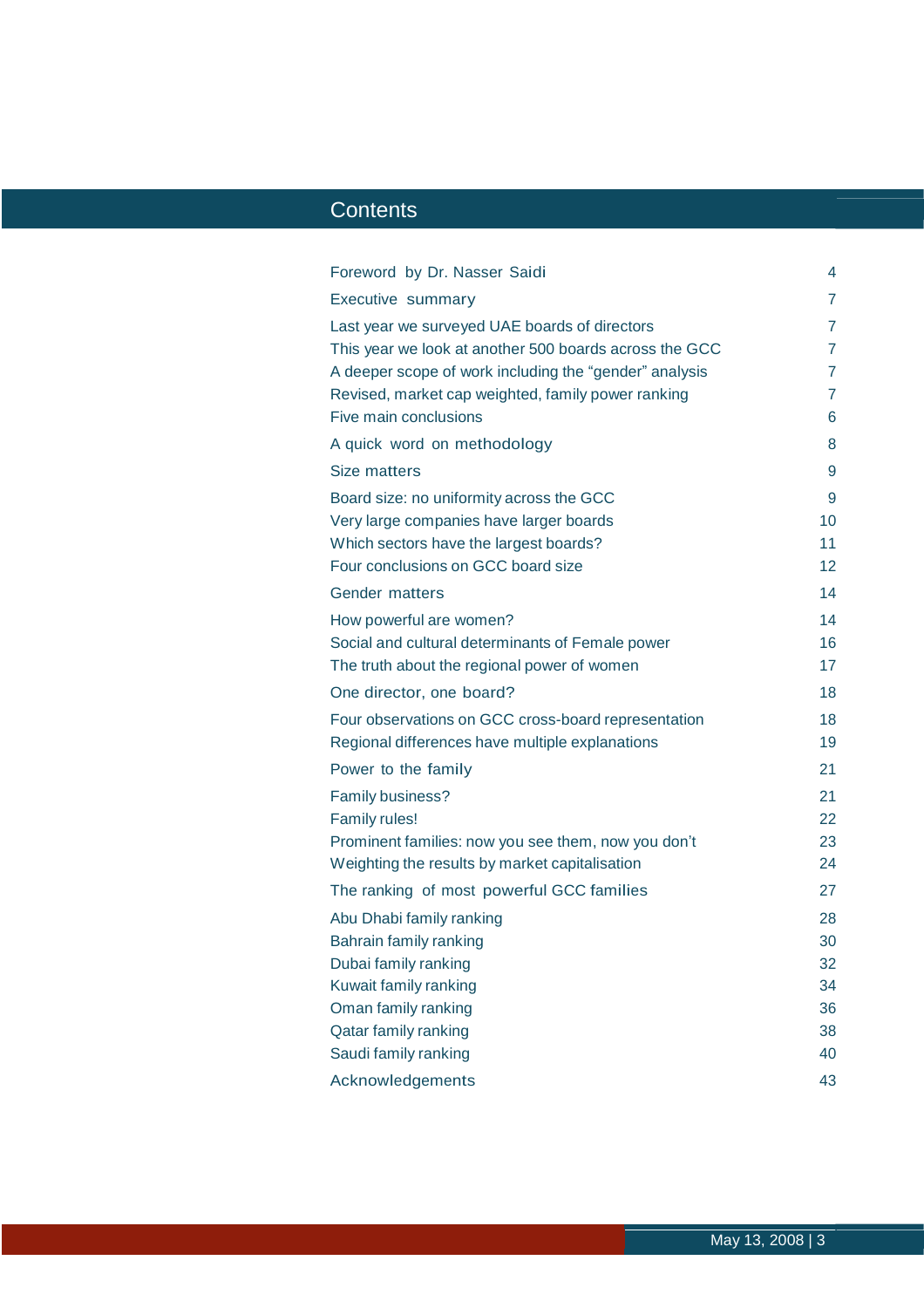## **Contents**

| Foreword by Dr. Nasser Saidi                           | 4              |
|--------------------------------------------------------|----------------|
| Executive summary                                      | $\overline{7}$ |
| Last year we surveyed UAE boards of directors          | 7              |
| This year we look at another 500 boards across the GCC | $\overline{7}$ |
| A deeper scope of work including the "gender" analysis | 7              |
| Revised, market cap weighted, family power ranking     | $\overline{7}$ |
| Five main conclusions                                  | 6              |
| A quick word on methodology                            | 8              |
| Size matters                                           | 9              |
| Board size: no uniformity across the GCC               | 9              |
| Very large companies have larger boards                | 10             |
| Which sectors have the largest boards?                 | 11             |
| Four conclusions on GCC board size                     | 12             |
| <b>Gender matters</b>                                  | 14             |
| How powerful are women?                                | 14             |
| Social and cultural determinants of Female power       | 16             |
| The truth about the regional power of women            | 17             |
| One director, one board?                               | 18             |
| Four observations on GCC cross-board representation    | 18             |
| Regional differences have multiple explanations        | 19             |
| Power to the family                                    | 21             |
| Family business?                                       | 21             |
| Family rules!                                          | 22             |
| Prominent families: now you see them, now you don't    | 23             |
| Weighting the results by market capitalisation         | 24             |
| The ranking of most powerful GCC families              | 27             |
| Abu Dhabi family ranking                               | 28             |
| Bahrain family ranking                                 | 30             |
| Dubai family ranking                                   | 32             |
| Kuwait family ranking                                  | 34             |
| Oman family ranking                                    | 36             |
| Qatar family ranking                                   | 38             |
| Saudi family ranking                                   | 40             |
| Acknowledgements                                       | 43             |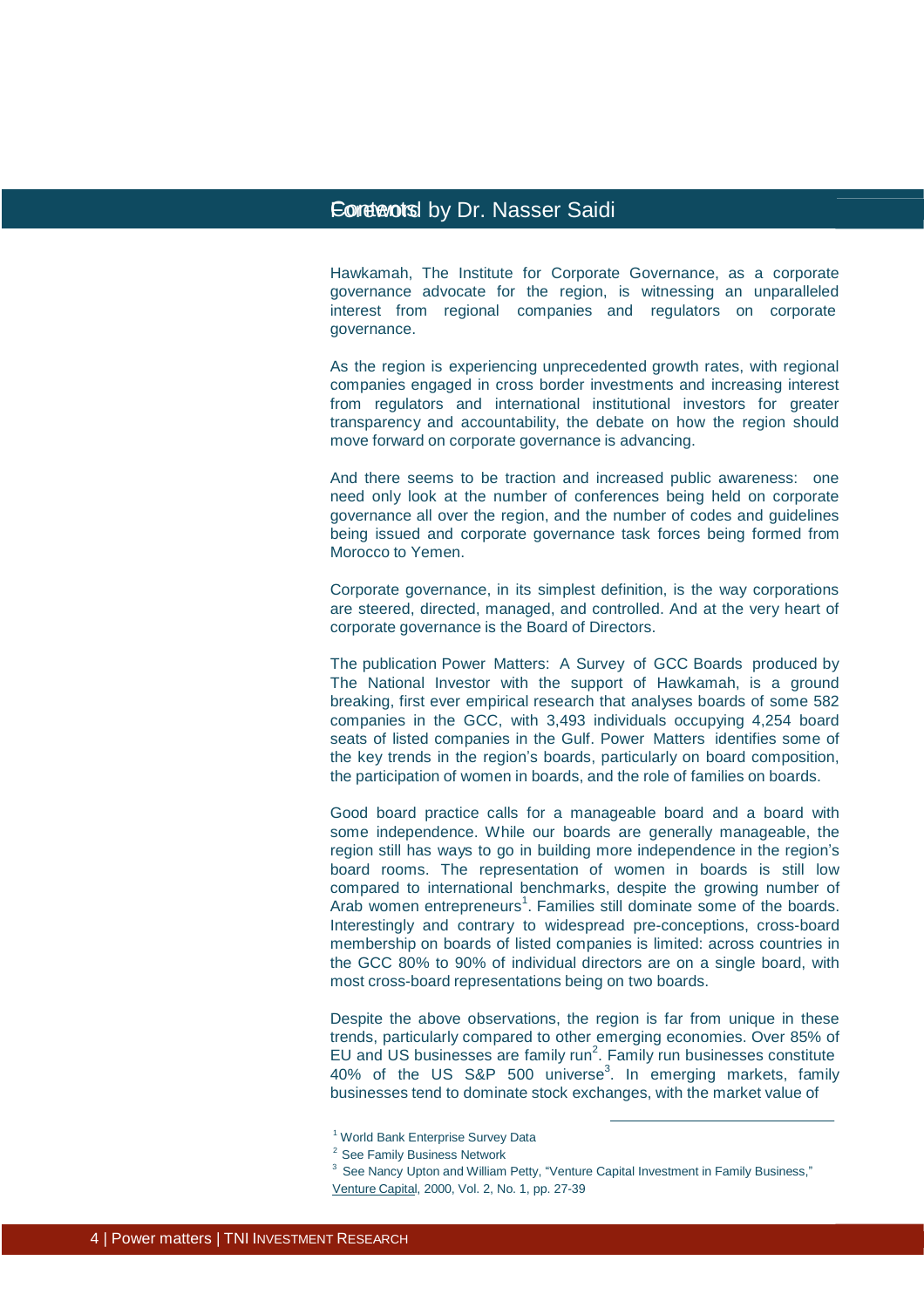### **Eontwots by Dr. Nasser Saidi**

Hawkamah, The Institute for Corporate Governance, as a corporate governance advocate for the region, is witnessing an unparalleled interest from regional companies and regulators on corporate governance.

As the region is experiencing unprecedented growth rates, with regional companies engaged in cross border investments and increasing interest from regulators and international institutional investors for greater transparency and accountability, the debate on how the region should move forward on corporate governance is advancing.

And there seems to be traction and increased public awareness: one need only look at the number of conferences being held on corporate governance all over the region, and the number of codes and guidelines being issued and corporate governance task forces being formed from Morocco to Yemen.

Corporate governance, in its simplest definition, is the way corporations are steered, directed, managed, and controlled. And at the very heart of corporate governance is the Board of Directors.

The publication Power Matters: A Survey of GCC Boards produced by The National Investor with the support of Hawkamah, is a ground breaking, first ever empirical research that analyses boards of some 582 companies in the GCC, with 3,493 individuals occupying 4,254 board seats of listed companies in the Gulf. Power Matters identifies some of the key trends in the region's boards, particularly on board composition, the participation of women in boards, and the role of families on boards.

Good board practice calls for a manageable board and a board with some independence. While our boards are generally manageable, the region still has ways to go in building more independence in the region's board rooms. The representation of women in boards is still low compared to international benchmarks, despite the growing number of Arab women entrepreneurs<sup>1</sup>. Families still dominate some of the boards. Interestingly and contrary to widespread pre-conceptions, cross-board membership on boards of listed companies is limited: across countries in the GCC 80% to 90% of individual directors are on a single board, with most cross-board representations being on two boards.

Despite the above observations, the region is far from unique in these trends, particularly compared to other emerging economies. Over 85% of EU and US businesses are family run<sup>2</sup>. Family run businesses constitute 40% of the US S&P 500 universe<sup>3</sup>. In emerging markets, family businesses tend to dominate stock exchanges, with the market value of

<sup>&</sup>lt;sup>1</sup> World Bank Enterprise Survey Data

 $2$  See Family Business Network

 $3$  See Nancy Upton and William Petty, "Venture Capital Investment in Family Business," Venture Capital, 2000, Vol. 2, No. 1, pp. 27-39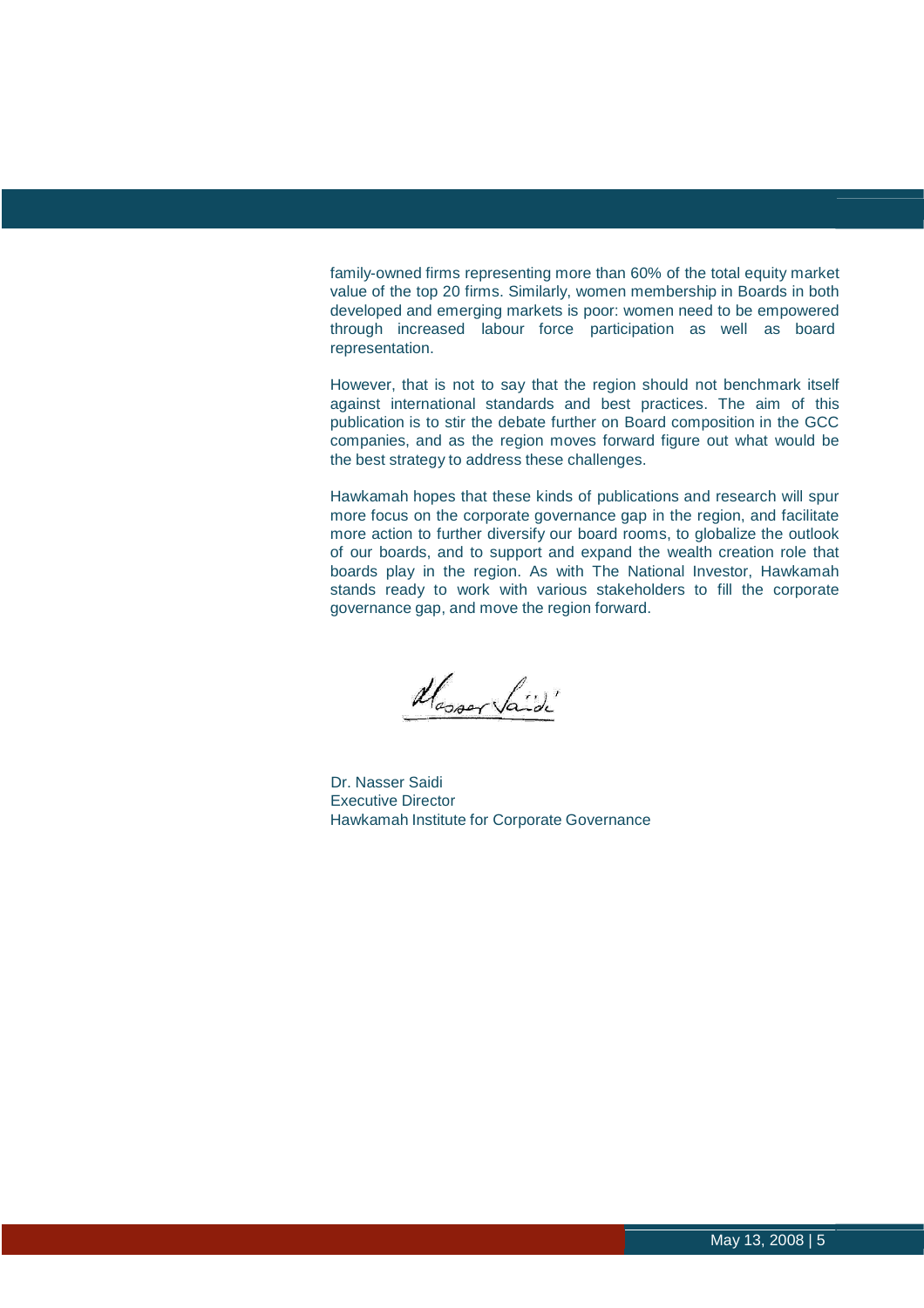family-owned firms representing more than 60% of the total equity market value of the top 20 firms. Similarly, women membership in Boards in both developed and emerging markets is poor: women need to be empowered through increased labour force participation as well as board representation.

However, that is not to say that the region should not benchmark itself against international standards and best practices. The aim of this publication is to stir the debate further on Board composition in the GCC companies, and as the region moves forward figure out what would be the best strategy to address these challenges.

Hawkamah hopes that these kinds of publications and research will spur more focus on the corporate governance gap in the region, and facilitate more action to further diversify our board rooms, to globalize the outlook of our boards, and to support and expand the wealth creation role that boards play in the region. As with The National Investor, Hawkamah stands ready to work with various stakeholders to fill the corporate governance gap, and move the region forward.

Masser Saide

Dr. Nasser Saidi Executive Director Hawkamah Institute for Corporate Governance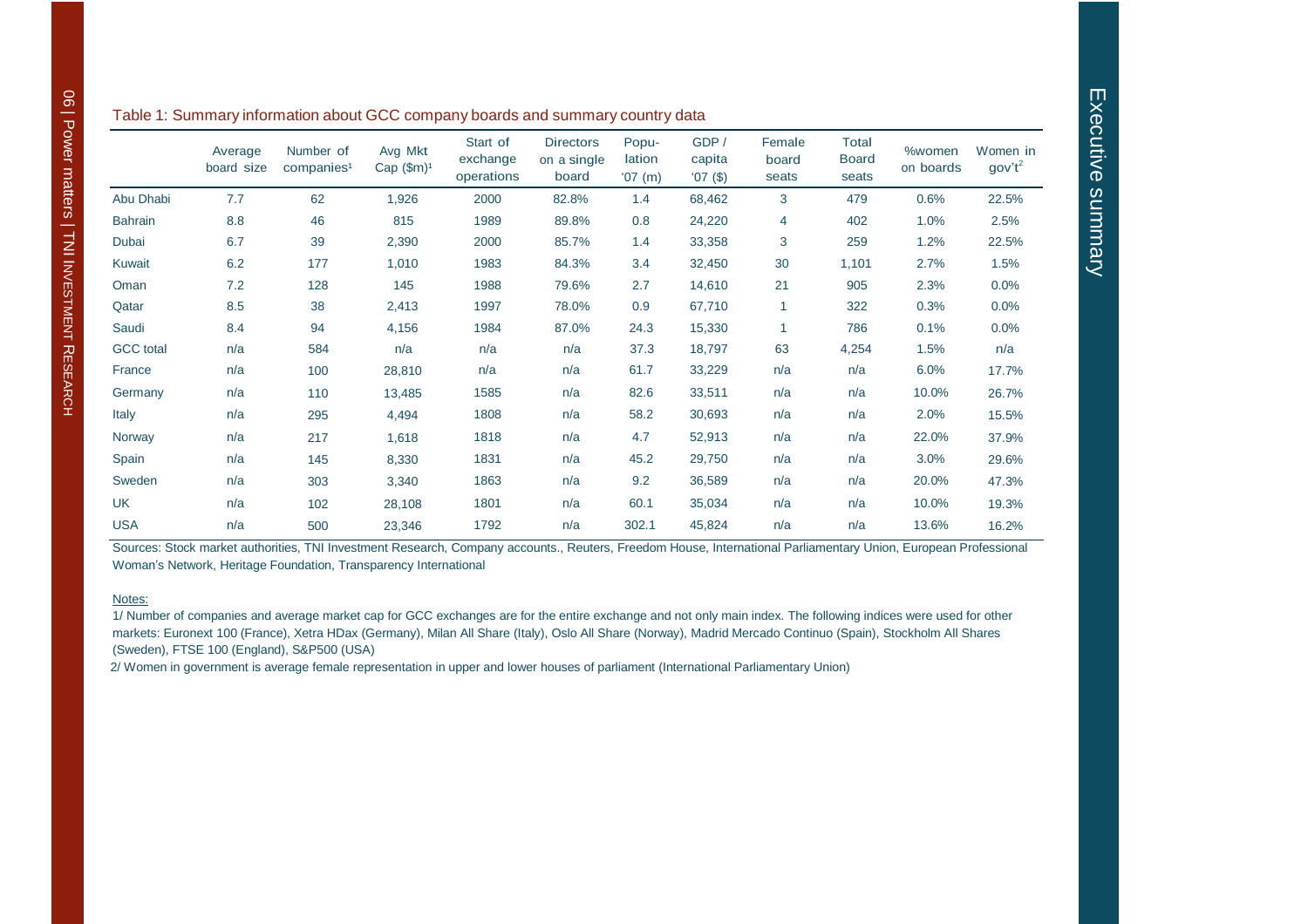| Table 1. Summary information about GCC company boards and summary country data |                       |                                     |                          |                                    |                                          |                           |                               |                          |                                       |                     |                       |
|--------------------------------------------------------------------------------|-----------------------|-------------------------------------|--------------------------|------------------------------------|------------------------------------------|---------------------------|-------------------------------|--------------------------|---------------------------------------|---------------------|-----------------------|
|                                                                                | Average<br>board size | Number of<br>companies <sup>1</sup> | Avg Mkt<br>Cap $(\$m)^1$ | Start of<br>exchange<br>operations | <b>Directors</b><br>on a single<br>board | Popu-<br>lation<br>'07(m) | GDP /<br>capita<br>$'07($ \$) | Female<br>board<br>seats | <b>Total</b><br><b>Board</b><br>seats | %women<br>on boards | Women in<br>$gov't^2$ |
| Abu Dhabi                                                                      | 7.7                   | 62                                  | 1,926                    | 2000                               | 82.8%                                    | 1.4                       | 68,462                        | 3                        | 479                                   | 0.6%                | 22.5%                 |
| <b>Bahrain</b>                                                                 | 8.8                   | 46                                  | 815                      | 1989                               | 89.8%                                    | 0.8                       | 24,220                        | 4                        | 402                                   | 1.0%                | 2.5%                  |
| Dubai                                                                          | 6.7                   | 39                                  | 2,390                    | 2000                               | 85.7%                                    | 1.4                       | 33,358                        | 3                        | 259                                   | 1.2%                | 22.5%                 |
| Kuwait                                                                         | 6.2                   | 177                                 | 1,010                    | 1983                               | 84.3%                                    | 3.4                       | 32,450                        | 30                       | 1,101                                 | 2.7%                | 1.5%                  |
| Oman                                                                           | 7.2                   | 128                                 | 145                      | 1988                               | 79.6%                                    | 2.7                       | 14,610                        | 21                       | 905                                   | 2.3%                | 0.0%                  |
| Qatar                                                                          | 8.5                   | 38                                  | 2,413                    | 1997                               | 78.0%                                    | 0.9                       | 67,710                        | $\mathbf{1}$             | 322                                   | 0.3%                | 0.0%                  |
| Saudi                                                                          | 8.4                   | 94                                  | 4,156                    | 1984                               | 87.0%                                    | 24.3                      | 15,330                        | 1                        | 786                                   | 0.1%                | 0.0%                  |
| <b>GCC</b> total                                                               | n/a                   | 584                                 | n/a                      | n/a                                | n/a                                      | 37.3                      | 18,797                        | 63                       | 4,254                                 | 1.5%                | n/a                   |
| France                                                                         | n/a                   | 100                                 | 28,810                   | n/a                                | n/a                                      | 61.7                      | 33,229                        | n/a                      | n/a                                   | 6.0%                | 17.7%                 |
| Germany                                                                        | n/a                   | 110                                 | 13,485                   | 1585                               | n/a                                      | 82.6                      | 33,511                        | n/a                      | n/a                                   | 10.0%               | 26.7%                 |
| Italy                                                                          | n/a                   | 295                                 | 4,494                    | 1808                               | n/a                                      | 58.2                      | 30,693                        | n/a                      | n/a                                   | 2.0%                | 15.5%                 |
| Norway                                                                         | n/a                   | 217                                 | 1,618                    | 1818                               | n/a                                      | 4.7                       | 52,913                        | n/a                      | n/a                                   | 22.0%               | 37.9%                 |
| Spain                                                                          | n/a                   | 145                                 | 8,330                    | 1831                               | n/a                                      | 45.2                      | 29,750                        | n/a                      | n/a                                   | 3.0%                | 29.6%                 |
| Sweden                                                                         | n/a                   | 303                                 | 3,340                    | 1863                               | n/a                                      | 9.2                       | 36,589                        | n/a                      | n/a                                   | 20.0%               | 47.3%                 |
| UK                                                                             | n/a                   | 102                                 | 28,108                   | 1801                               | n/a                                      | 60.1                      | 35,034                        | n/a                      | n/a                                   | 10.0%               | 19.3%                 |
| <b>USA</b>                                                                     | n/a                   | 500                                 | 23,346                   | 1792                               | n/a                                      | 302.1                     | 45,824                        | n/a                      | n/a                                   | 13.6%               | 16.2%                 |

Table 1: Summary information about GCC company boards and summary country data

Sources: Stock market authorities, TNI Investment Research, Company accounts., Reuters, Freedom House, International Parliamentary Union, European Professional Woman's Network, Heritage Foundation, Transparency International

#### Notes:

1/ Number of companies and average market cap for GCC exchanges are for the entire exchange and not only main index. The following indices were used for other markets: Euronext 100 (France), Xetra HDax (Germany), Milan All Share (Italy), Oslo All Share (Norway), Madrid Mercado Continuo (Spain), Stockholm All Shares (Sweden), FTSE 100 (England), S&P500 (USA)

2/ Women in government is average female representation in upper and lower houses of parliament (International Parliamentary Union)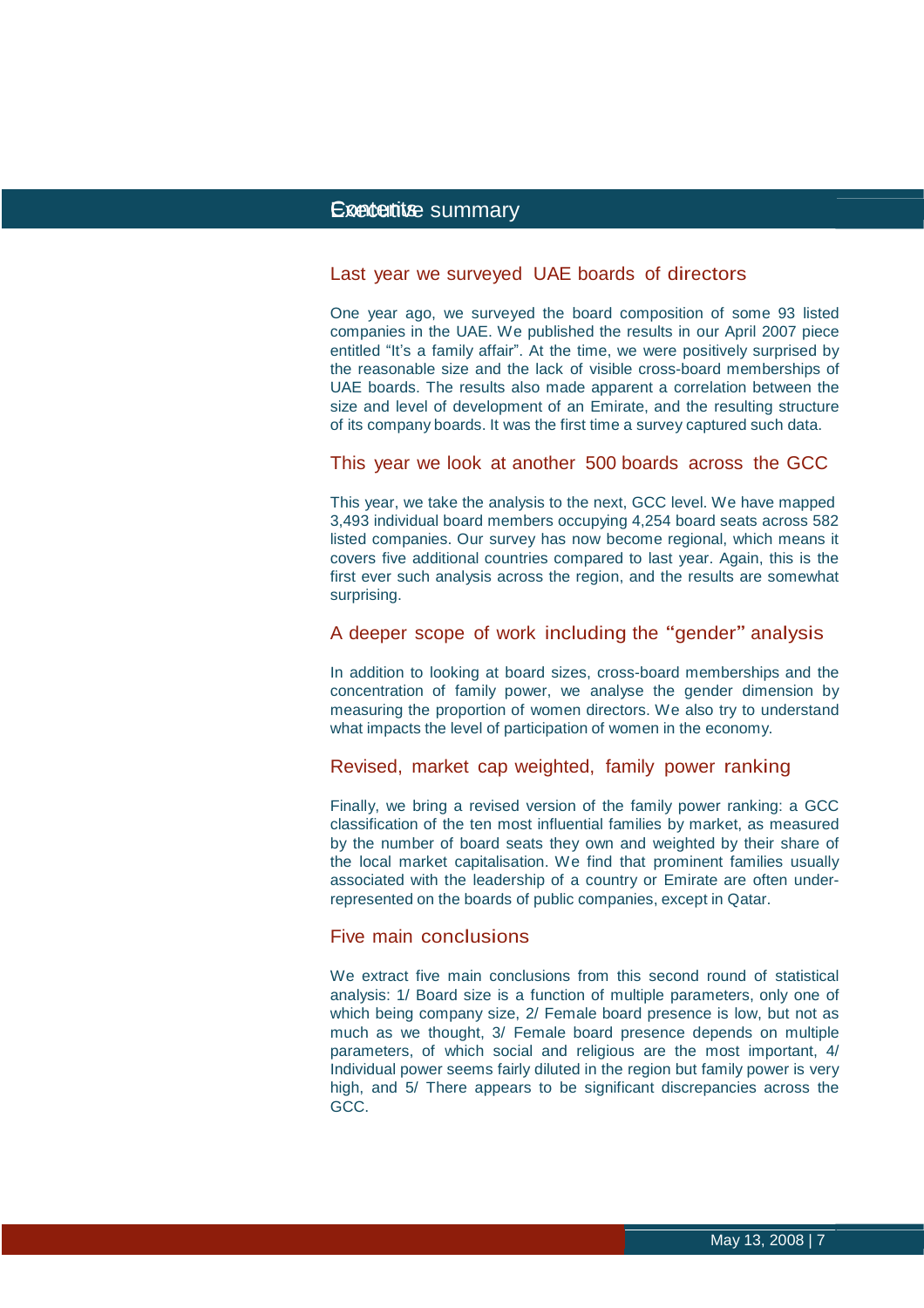### Exercentite summary

#### Last year we surveyed UAE boards of directors

One year ago, we surveyed the board composition of some 93 listed companies in the UAE. We published the results in our April 2007 piece entitled "It's a family affair". At the time, we were positively surprised by the reasonable size and the lack of visible cross-board memberships of UAE boards. The results also made apparent a correlation between the size and level of development of an Emirate, and the resulting structure of its company boards. It was the first time a survey captured such data.

#### This year we look at another 500 boards across the GCC

This year, we take the analysis to the next, GCC level. We have mapped 3,493 individual board members occupying 4,254 board seats across 582 listed companies. Our survey has now become regional, which means it covers five additional countries compared to last year. Again, this is the first ever such analysis across the region, and the results are somewhat surprising.

#### <sup>A</sup> deeper scope of work including the "gender" analysis

In addition to looking at board sizes, cross-board memberships and the concentration of family power, we analyse the gender dimension by measuring the proportion of women directors. We also try to understand what impacts the level of participation of women in the economy.

#### Revised, market cap weighted, family power ranking

Finally, we bring a revised version of the family power ranking: a GCC classification of the ten most influential families by market, as measured by the number of board seats they own and weighted by their share of the local market capitalisation. We find that prominent families usually associated with the leadership of a country or Emirate are often underrepresented on the boards of public companies, except in Qatar.

#### Five main conclusions

We extract five main conclusions from this second round of statistical analysis: 1/ Board size is a function of multiple parameters, only one of which being company size, 2/ Female board presence is low, but not as much as we thought, 3/ Female board presence depends on multiple parameters, of which social and religious are the most important, 4/ Individual power seems fairly diluted in the region but family power is very high, and 5/ There appears to be significant discrepancies across the GCC.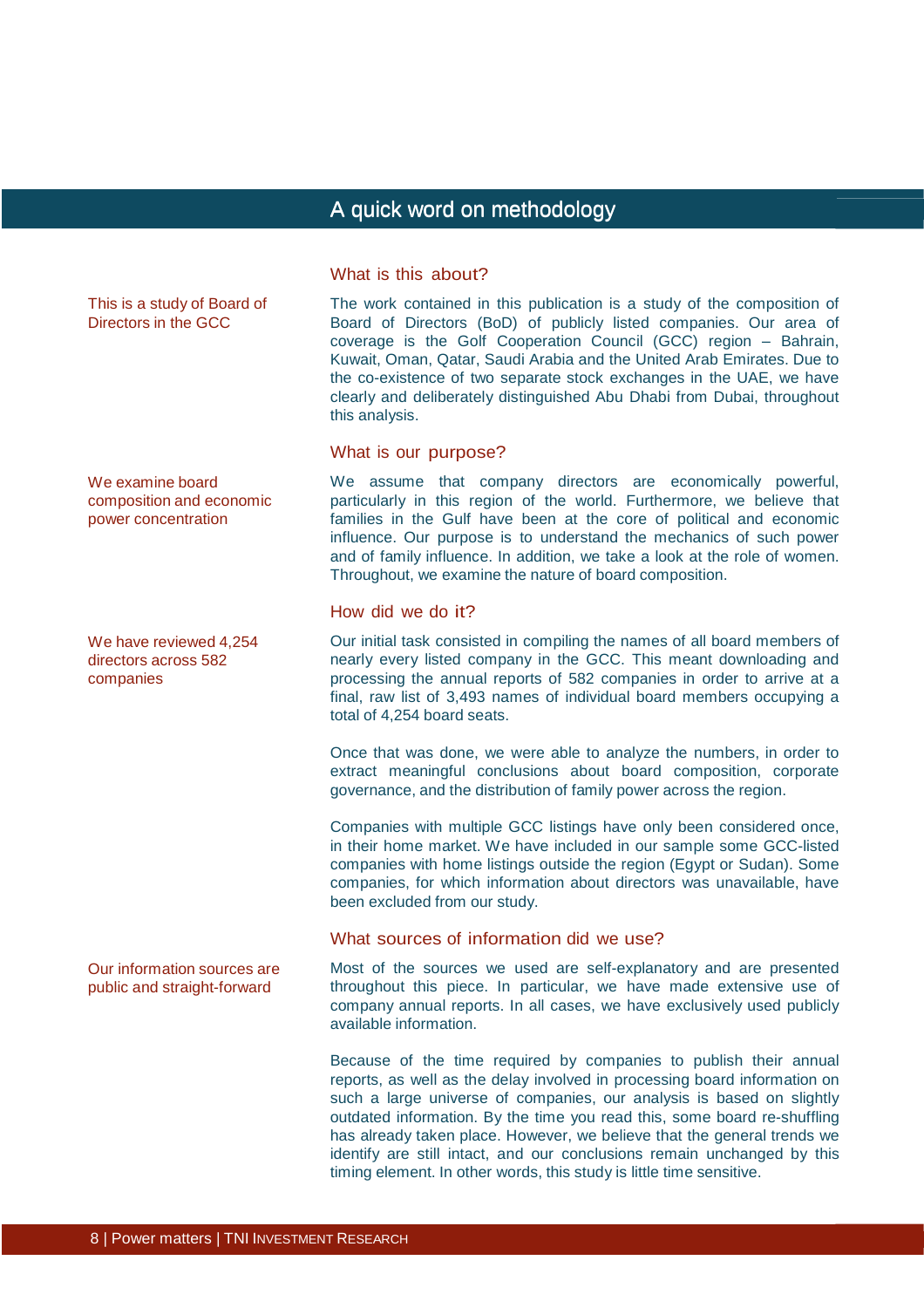## A quick word on methodology

#### What is this about?

The work contained in this publication is a study of the composition of Board of Directors (BoD) of publicly listed companies. Our area of coverage is the Golf Cooperation Council (GCC) region – Bahrain, Kuwait, Oman, Qatar, Saudi Arabia and the United Arab Emirates. Due to the co-existence of two separate stock exchanges in the UAE, we have clearly and deliberately distinguished Abu Dhabi from Dubai, throughout this analysis.

#### What is our purpose?

We assume that company directors are economically powerful, particularly in this region of the world. Furthermore, we believe that families in the Gulf have been at the core of political and economic influence. Our purpose is to understand the mechanics of such power and of family influence. In addition, we take a look at the role of women. Throughout, we examine the nature of board composition.

#### How did we do it?

Our initial task consisted in compiling the names of all board members of nearly every listed company in the GCC. This meant downloading and processing the annual reports of 582 companies in order to arrive at a final, raw list of 3,493 names of individual board members occupying a total of 4,254 board seats.

Once that was done, we were able to analyze the numbers, in order to extract meaningful conclusions about board composition, corporate governance, and the distribution of family power across the region.

Companies with multiple GCC listings have only been considered once, in their home market. We have included in our sample some GCC-listed companies with home listings outside the region (Egypt or Sudan). Some companies, for which information about directors was unavailable, have been excluded from our study.

#### What sources of information did we use?

Most of the sources we used are self-explanatory and are presented throughout this piece. In particular, we have made extensive use of company annual reports. In all cases, we have exclusively used publicly available information.

Because of the time required by companies to publish their annual reports, as well as the delay involved in processing board information on such a large universe of companies, our analysis is based on slightly outdated information. By the time you read this, some board re-shuffling has already taken place. However, we believe that the general trends we identify are still intact, and our conclusions remain unchanged by this timing element. In other words, this study is little time sensitive.

This is a study of Board of Directors in the GCC

We examine board composition and economic power concentration

We have reviewed 4,254 directors across 582 companies

Our information sources are public and straight-forward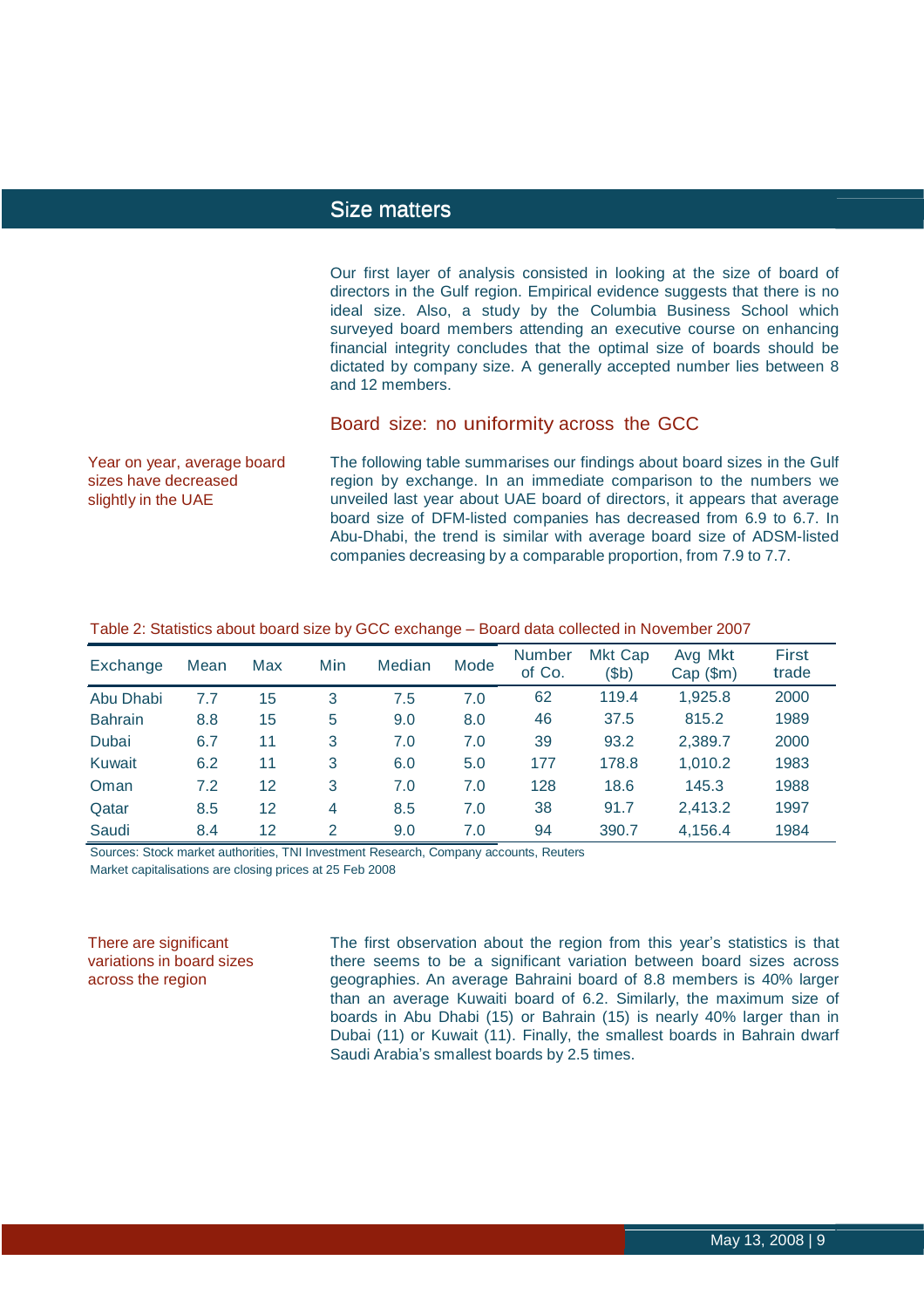Our first layer of analysis consisted in looking at the size of board of directors in the Gulf region. Empirical evidence suggests that there is no ideal size. Also, a study by the Columbia Business School which surveyed board members attending an executive course on enhancing financial integrity concludes that the optimal size of boards should be dictated by company size. A generally accepted number lies between 8 and 12 members.

#### Board size: no uniformity across the GCC

Year on year, average board sizes have decreased slightly in the UAE

The following table summarises our findings about board sizes in the Gulf region by exchange. In an immediate comparison to the numbers we unveiled last year about UAE board of directors, it appears that average board size of DFM-listed companies has decreased from 6.9 to 6.7. In Abu-Dhabi, the trend is similar with average board size of ADSM-listed companies decreasing by a comparable proportion, from 7.9 to 7.7.

| Exchange       | Mean | Max | Min | Median | Mode | Number<br>of Co. | Mkt Cap<br>\$b) | Avg Mkt<br>Cap (\$m) | <b>First</b><br>trade |
|----------------|------|-----|-----|--------|------|------------------|-----------------|----------------------|-----------------------|
| Abu Dhabi      | 7.7  | 15  | 3   | 7.5    | 7.0  | 62               | 119.4           | 1,925.8              | 2000                  |
| <b>Bahrain</b> | 8.8  | 15  | 5   | 9.0    | 8.0  | 46               | 37.5            | 815.2                | 1989                  |
| Dubai          | 6.7  | 11  | 3   | 7.0    | 7.0  | 39               | 93.2            | 2,389.7              | 2000                  |
| Kuwait         | 6.2  | 11  | 3   | 6.0    | 5.0  | 177              | 178.8           | 1,010.2              | 1983                  |
| Oman           | 7.2  | 12  | 3   | 7.0    | 7.0  | 128              | 18.6            | 145.3                | 1988                  |
| Qatar          | 8.5  | 12  | 4   | 8.5    | 7.0  | 38               | 91.7            | 2,413.2              | 1997                  |
| Saudi          | 8.4  | 12  | 2   | 9.0    | 7.0  | 94               | 390.7           | 4,156.4              | 1984                  |

#### Table 2: Statistics about board size by GCC exchange – Board data collected in November 2007

Sources: Stock market authorities, TNI Investment Research, Company accounts, Reuters

Market capitalisations are closing prices at 25 Feb 2008

There are significant variations in board sizes across the region

The first observation about the region from this year's statistics is that there seems to be a significant variation between board sizes across geographies. An average Bahraini board of 8.8 members is 40% larger than an average Kuwaiti board of 6.2. Similarly, the maximum size of boards in Abu Dhabi (15) or Bahrain (15) is nearly 40% larger than in Dubai (11) or Kuwait (11). Finally, the smallest boards in Bahrain dwarf Saudi Arabia's smallest boards by 2.5 times.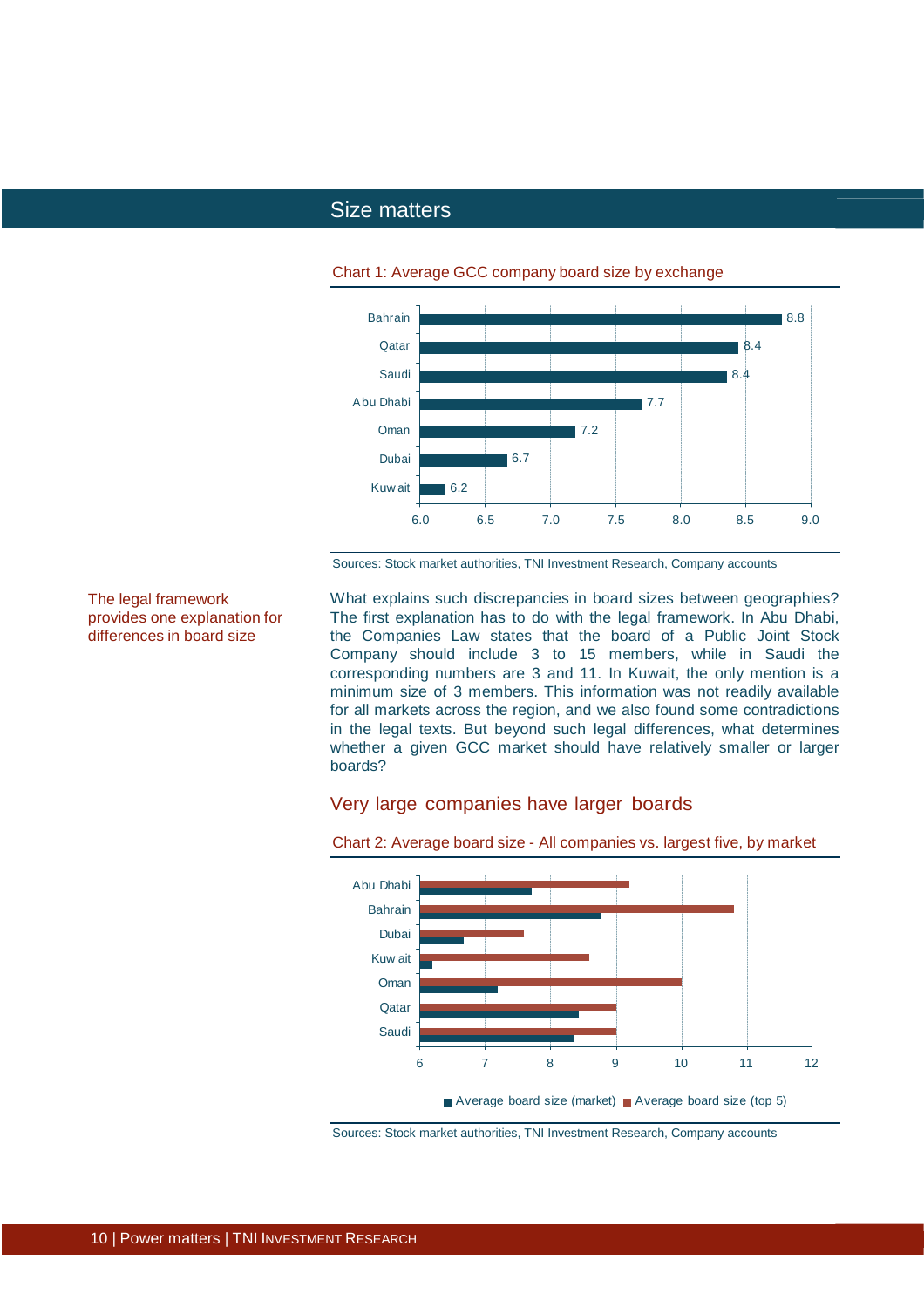

#### Chart 1: Average GCC company board size by exchange

Sources: Stock market authorities, TNI Investment Research, Company accounts

The legal framework provides one explanation for differences in board size

What explains such discrepancies in board sizes between geographies? The first explanation has to do with the legal framework. In Abu Dhabi, the Companies Law states that the board of a Public Joint Stock Company should include 3 to 15 members, while in Saudi the corresponding numbers are 3 and 11. In Kuwait, the only mention is a minimum size of 3 members. This information was not readily available for all markets across the region, and we also found some contradictions in the legal texts. But beyond such legal differences, what determines whether a given GCC market should have relatively smaller or larger boards?

#### Very large companies have larger boards

#### Chart 2: Average board size - All companies vs. largest five, by market

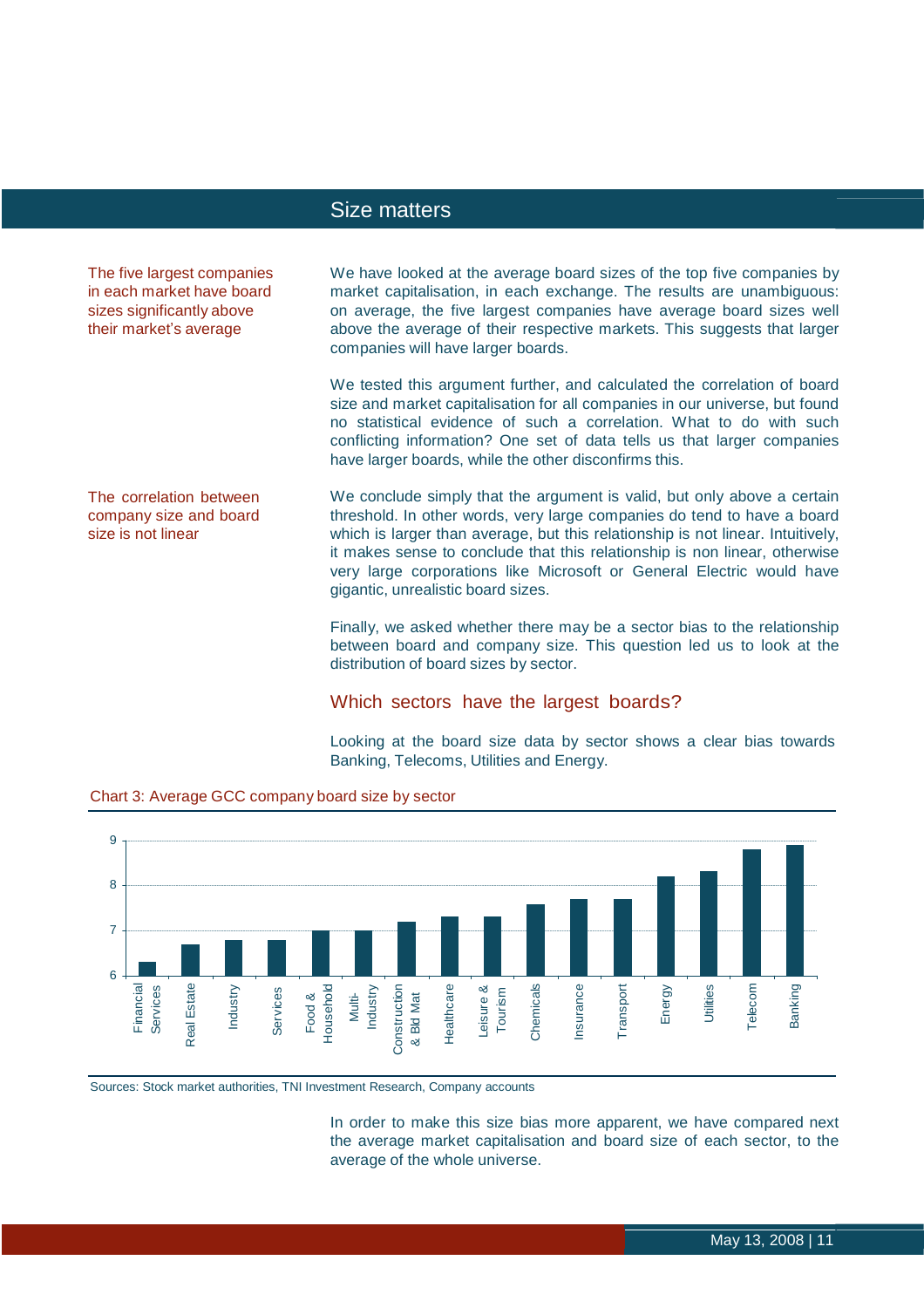| The five largest companies<br>in each market have board<br>sizes significantly above<br>their market's average | We have looked at the average board sizes of the top five companies by<br>market capitalisation, in each exchange. The results are unambiguous:<br>on average, the five largest companies have average board sizes well<br>above the average of their respective markets. This suggests that larger<br>companies will have larger boards.                                                                                          |
|----------------------------------------------------------------------------------------------------------------|------------------------------------------------------------------------------------------------------------------------------------------------------------------------------------------------------------------------------------------------------------------------------------------------------------------------------------------------------------------------------------------------------------------------------------|
|                                                                                                                | We tested this argument further, and calculated the correlation of board<br>size and market capitalisation for all companies in our universe, but found<br>no statistical evidence of such a correlation. What to do with such<br>conflicting information? One set of data tells us that larger companies<br>have larger boards, while the other disconfirms this.                                                                 |
| The correlation between<br>company size and board<br>size is not linear                                        | We conclude simply that the argument is valid, but only above a certain<br>threshold. In other words, very large companies do tend to have a board<br>which is larger than average, but this relationship is not linear. Intuitively,<br>it makes sense to conclude that this relationship is non linear, otherwise<br>very large corporations like Microsoft or General Electric would have<br>gigantic, unrealistic board sizes. |
|                                                                                                                | Finally, we asked whether there may be a sector bias to the relationship<br>between board and company size. This question led us to look at the<br>distribution of board sizes by sector.                                                                                                                                                                                                                                          |
|                                                                                                                | Which sectors have the largest boards?                                                                                                                                                                                                                                                                                                                                                                                             |

Looking at the board size data by sector shows a clear bias towards Banking, Telecoms, Utilities and Energy.



Chart 3: Average GCC company board size by sector

Sources: Stock market authorities, TNI Investment Research, Company accounts

In order to make this size bias more apparent, we have compared next the average market capitalisation and board size of each sector, to the average of the whole universe.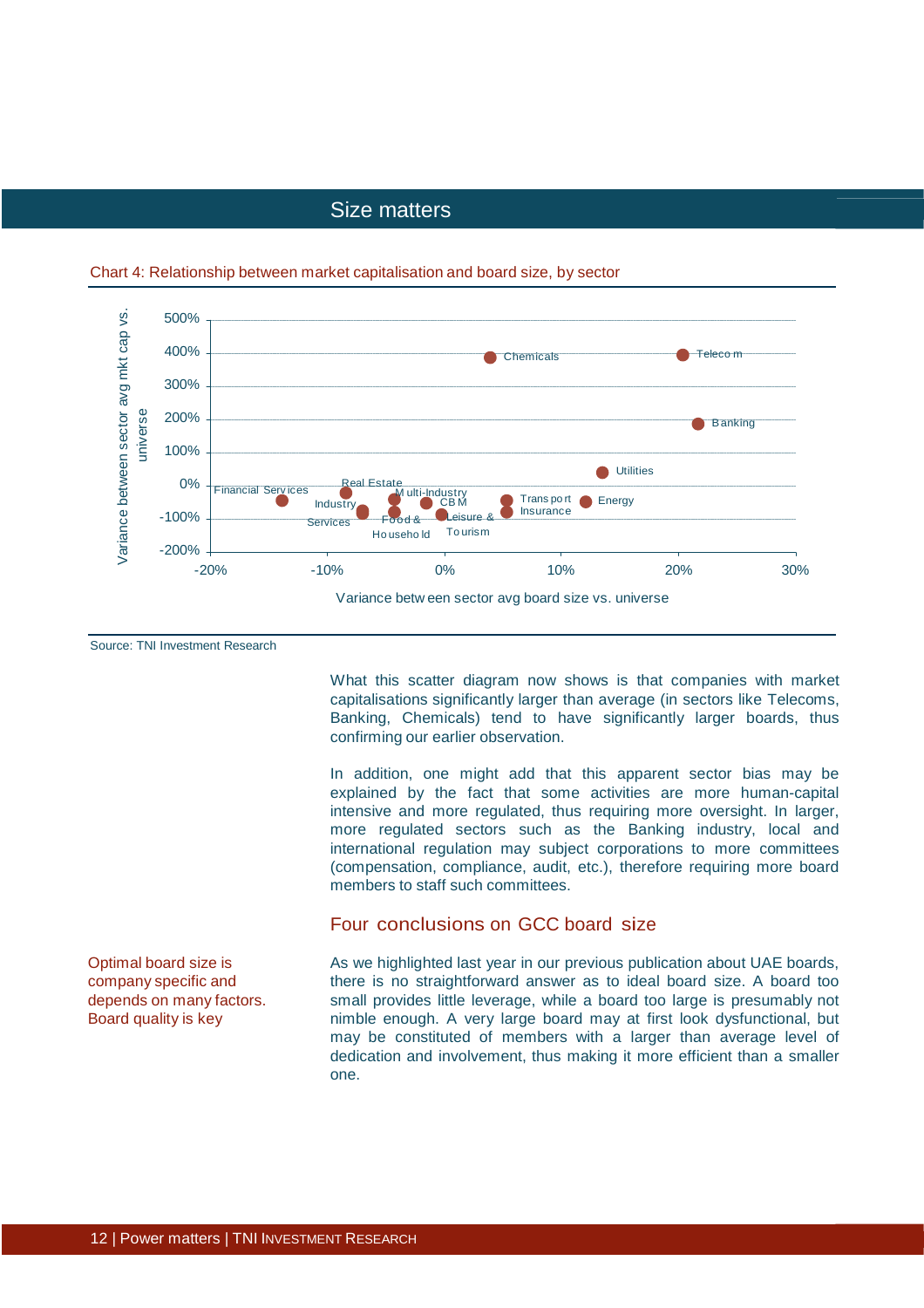

Chart 4: Relationship between market capitalisation and board size, by sector

Source: TNI Investment Research

What this scatter diagram now shows is that companies with market capitalisations significantly larger than average (in sectors like Telecoms, Banking, Chemicals) tend to have significantly larger boards, thus confirming our earlier observation.

In addition, one might add that this apparent sector bias may be explained by the fact that some activities are more human-capital intensive and more regulated, thus requiring more oversight. In larger, more regulated sectors such as the Banking industry, local and international regulation may subject corporations to more committees (compensation, compliance, audit, etc.), therefore requiring more board members to staff such committees.

#### Four conclusions on GCC board size

Optimal board size is company specific and depends on many factors. Board quality is key

As we highlighted last year in our previous publication about UAE boards, there is no straightforward answer as to ideal board size. A board too small provides little leverage, while a board too large is presumably not nimble enough. A very large board may at first look dysfunctional, but may be constituted of members with a larger than average level of dedication and involvement, thus making it more efficient than a smaller one.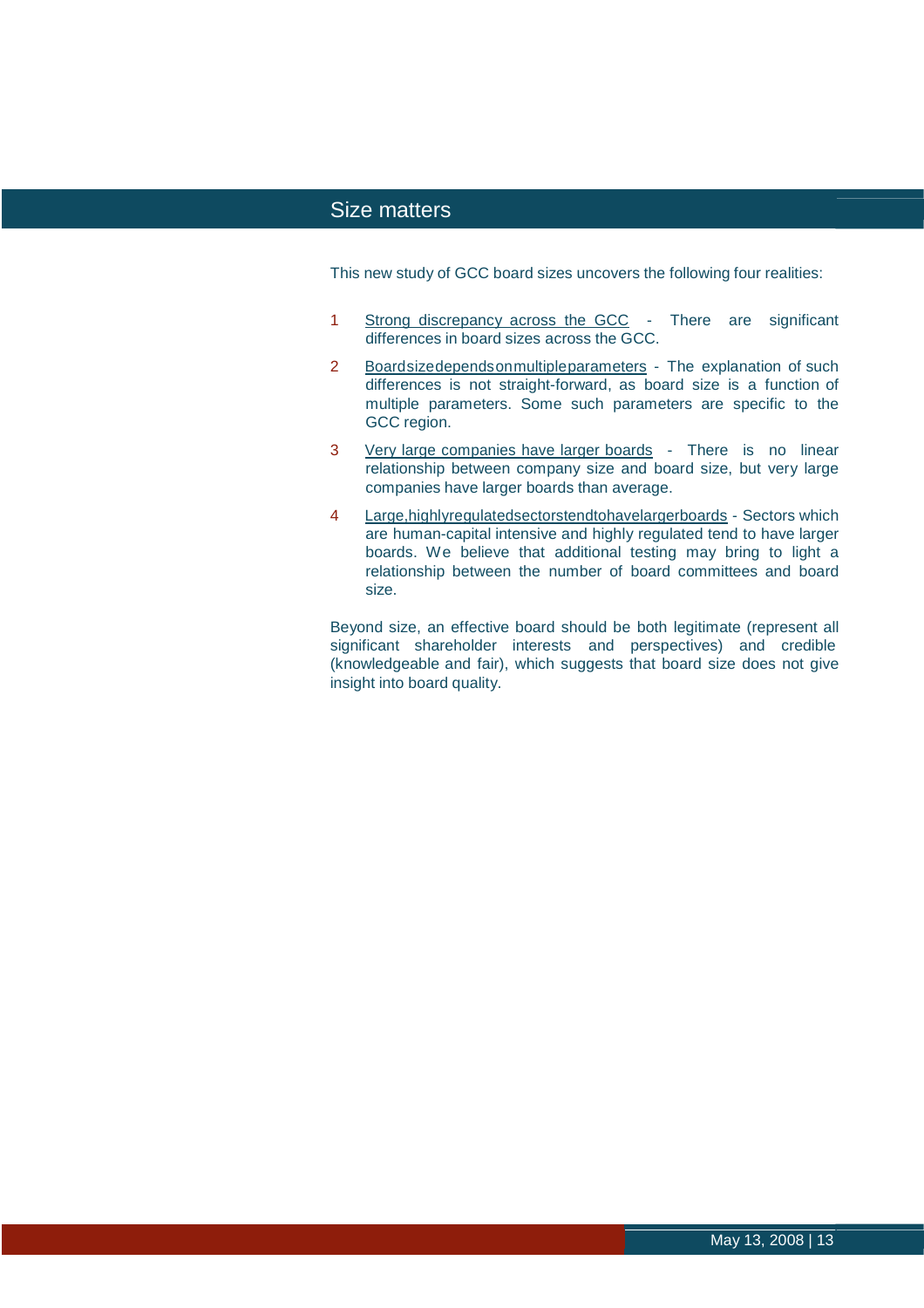This new study of GCC board sizes uncovers the following four realities:

- 1 Strong discrepancy across the GCC There are significant differences in board sizes across the GCC.
- 2 Boardsizedependsonmultipleparameters The explanation of such differences is not straight-forward, as board size is a function of multiple parameters. Some such parameters are specific to the GCC region.
- 3 Very large companies have larger boards There is no linear relationship between company size and board size, but very large companies have larger boards than average.
- 4 Large,highlyregulatedsectorstendtohavelargerboards Sectors which are human-capital intensive and highly regulated tend to have larger boards. We believe that additional testing may bring to light a relationship between the number of board committees and board size.

Beyond size, an effective board should be both legitimate (represent all significant shareholder interests and perspectives) and credible (knowledgeable and fair), which suggests that board size does not give insight into board quality.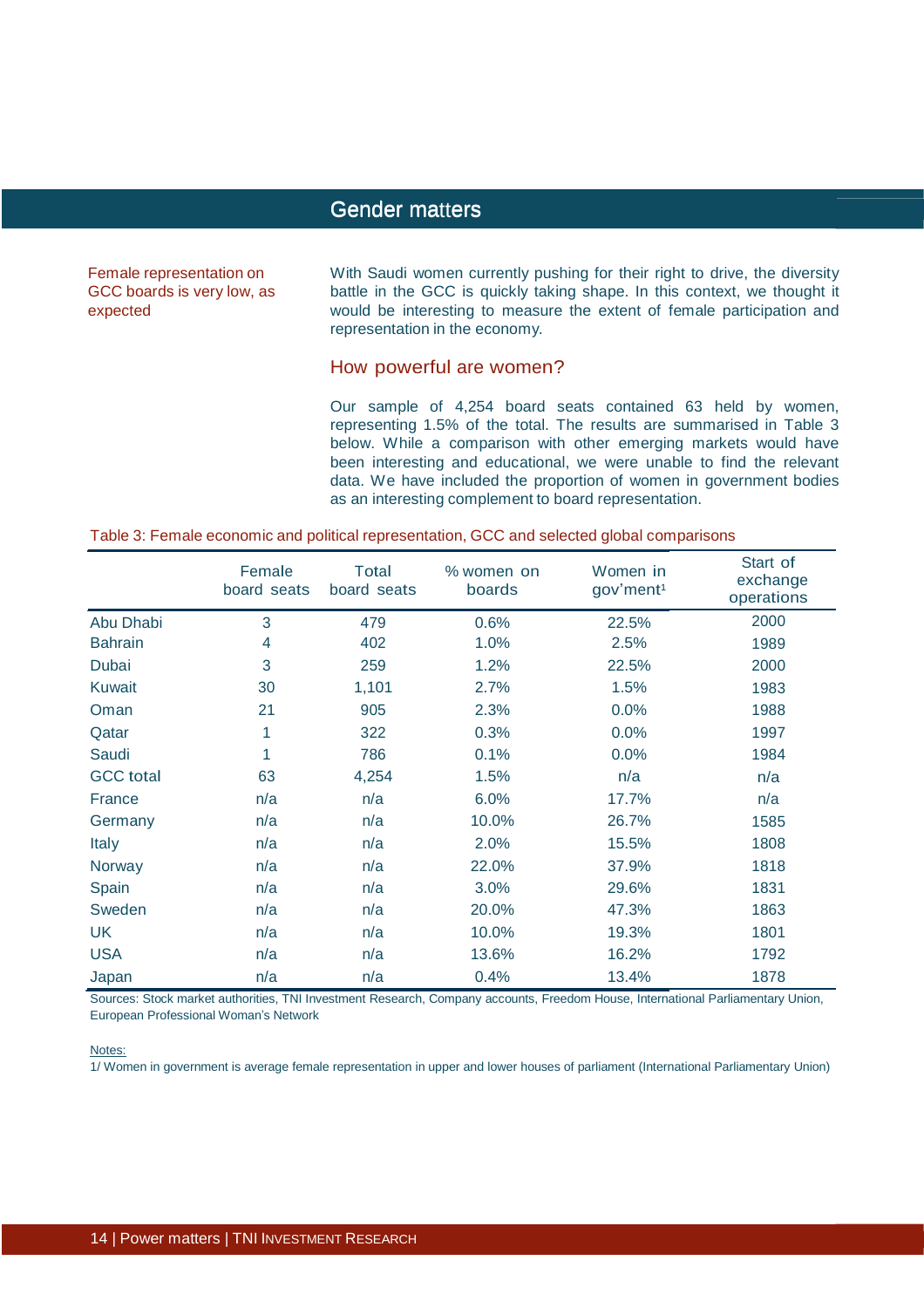## Gender matters

#### Female representation on GCC boards is very low, as expected

With Saudi women currently pushing for their right to drive, the diversity battle in the GCC is quickly taking shape. In this context, we thought it would be interesting to measure the extent of female participation and representation in the economy.

#### How powerful are women?

Our sample of 4,254 board seats contained 63 held by women, representing 1.5% of the total. The results are summarised in Table 3 below. While a comparison with other emerging markets would have been interesting and educational, we were unable to find the relevant data. We have included the proportion of women in government bodies as an interesting complement to board representation.

#### Table 3: Female economic and political representation, GCC and selected global comparisons

|                  | Female<br>board seats | Total<br>board seats | % women on<br>boards | Women in<br>gov'ment <sup>1</sup> | Start of<br>exchange<br>operations |
|------------------|-----------------------|----------------------|----------------------|-----------------------------------|------------------------------------|
| Abu Dhabi        | 3                     | 479                  | 0.6%                 | 22.5%                             | 2000                               |
| <b>Bahrain</b>   | 4                     | 402                  | 1.0%                 | 2.5%                              | 1989                               |
| Dubai            | 3                     | 259                  | 1.2%                 | 22.5%                             | 2000                               |
| <b>Kuwait</b>    | 30                    | 1,101                | 2.7%                 | 1.5%                              | 1983                               |
| Oman             | 21                    | 905                  | 2.3%                 | 0.0%                              | 1988                               |
| Qatar            | 1                     | 322                  | 0.3%                 | 0.0%                              | 1997                               |
| Saudi            |                       | 786                  | 0.1%                 | 0.0%                              | 1984                               |
| <b>GCC</b> total | 63                    | 4,254                | 1.5%                 | n/a                               | n/a                                |
| France           | n/a                   | n/a                  | 6.0%                 | 17.7%                             | n/a                                |
| Germany          | n/a                   | n/a                  | 10.0%                | 26.7%                             | 1585                               |
| <b>Italy</b>     | n/a                   | n/a                  | 2.0%                 | 15.5%                             | 1808                               |
| Norway           | n/a                   | n/a                  | 22.0%                | 37.9%                             | 1818                               |
| Spain            | n/a                   | n/a                  | 3.0%                 | 29.6%                             | 1831                               |
| Sweden           | n/a                   | n/a                  | 20.0%                | 47.3%                             | 1863                               |
| <b>UK</b>        | n/a                   | n/a                  | 10.0%                | 19.3%                             | 1801                               |
| <b>USA</b>       | n/a                   | n/a                  | 13.6%                | 16.2%                             | 1792                               |
| Japan            | n/a                   | n/a                  | 0.4%                 | 13.4%                             | 1878                               |

Sources: Stock market authorities, TNI Investment Research, Company accounts, Freedom House, International Parliamentary Union, European Professional Woman's Network

#### Notes:

1/ Women in government is average female representation in upper and lower houses of parliament (International Parliamentary Union)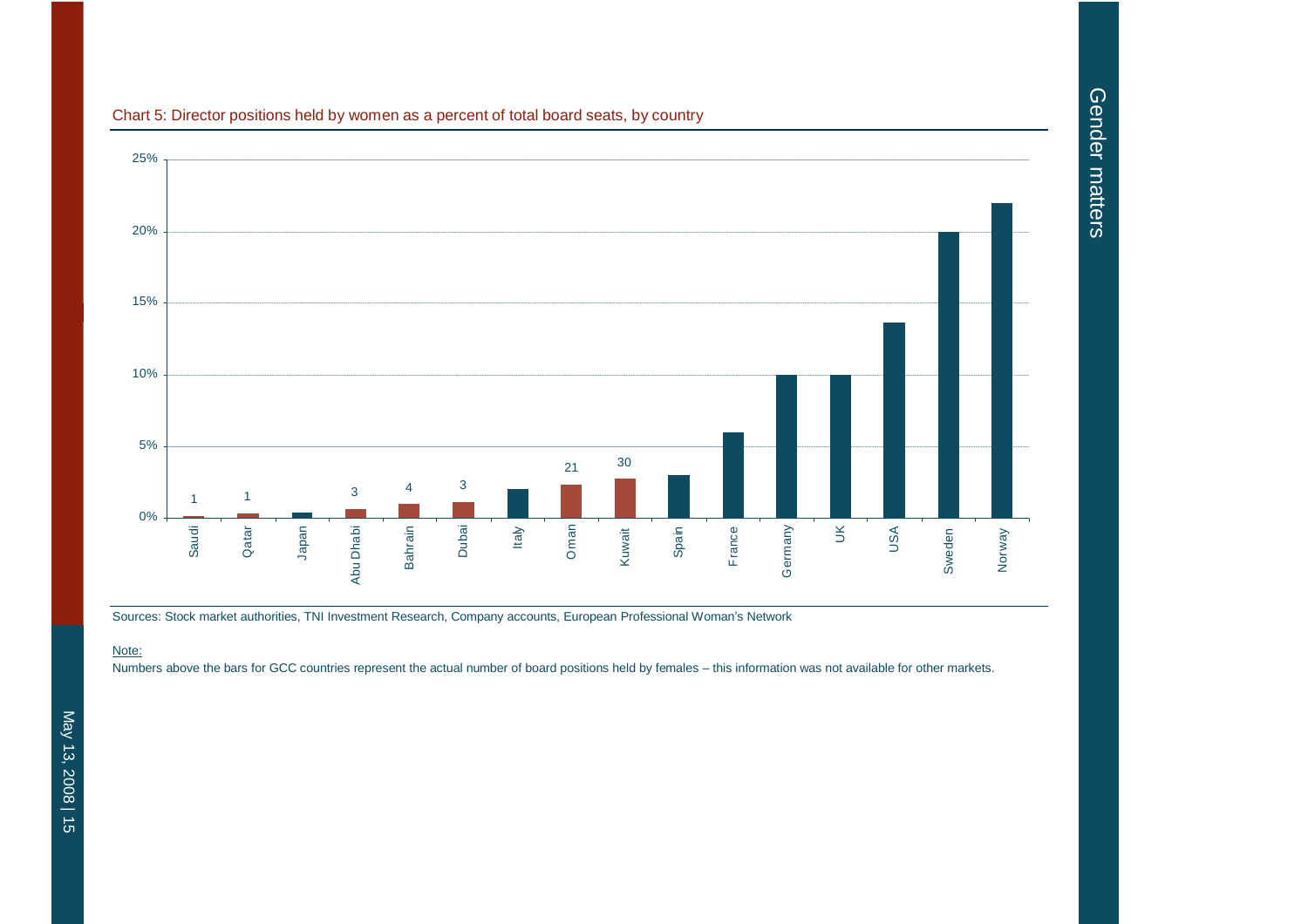

Gender

 $\exists$ 

atters

#### Chart 5: Director positions held by women as a percent of total board seats, by country

Sources: Stock market authorities, TNI Investment Research, Company accounts, European Professional Woman's Network

#### Note:

Numbers above the bars for GCC countries represent the actual number of board positions held by females – this information was not available for other markets.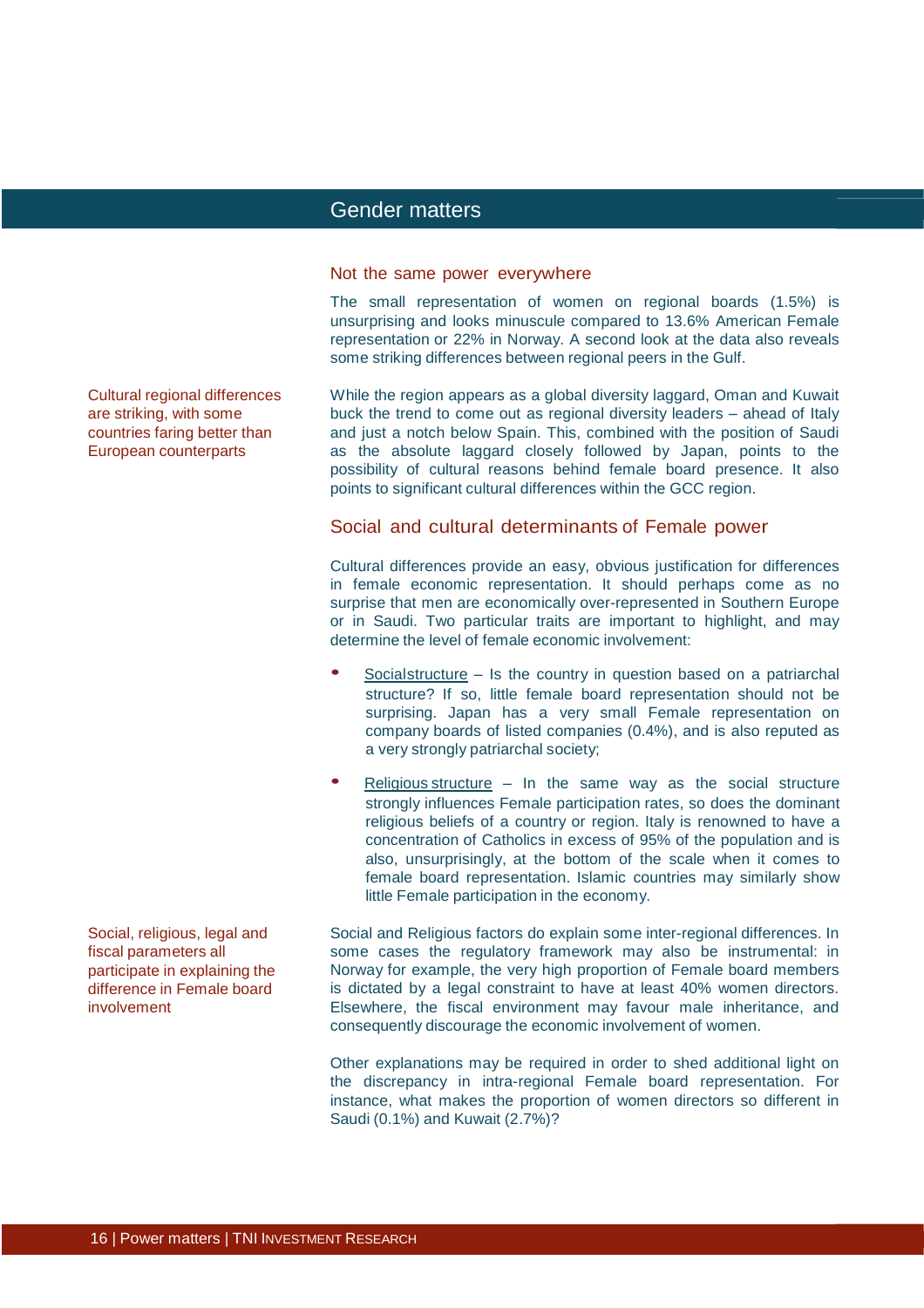## Gender matters

#### Not the same power everywhere

The small representation of women on regional boards (1.5%) is unsurprising and looks minuscule compared to 13.6% American Female representation or 22% in Norway. A second look at the data also reveals some striking differences between regional peers in the Gulf.

While the region appears as a global diversity laggard, Oman and Kuwait buck the trend to come out as regional diversity leaders – ahead of Italy and just a notch below Spain. This, combined with the position of Saudi as the absolute laggard closely followed by Japan, points to the possibility of cultural reasons behind female board presence. It also points to significant cultural differences within the GCC region.

#### Social and cultural determinants of Female power

Cultural differences provide an easy, obvious justification for differences in female economic representation. It should perhaps come as no surprise that men are economically over-represented in Southern Europe or in Saudi. Two particular traits are important to highlight, and may determine the level of female economic involvement:

- Socialstructure Is the country in question based on a patriarchal structure? If so, little female board representation should not be surprising. Japan has a very small Female representation on company boards of listed companies (0.4%), and is also reputed as a very strongly patriarchal society;
- $Religious structure In the same way as the social structure$ strongly influences Female participation rates, so does the dominant religious beliefs of a country or region. Italy is renowned to have a concentration of Catholics in excess of 95% of the population and is also, unsurprisingly, at the bottom of the scale when it comes to female board representation. Islamic countries may similarly show little Female participation in the economy.

Social and Religious factors do explain some inter-regional differences. In some cases the regulatory framework may also be instrumental: in Norway for example, the very high proportion of Female board members is dictated by a legal constraint to have at least 40% women directors. Elsewhere, the fiscal environment may favour male inheritance, and consequently discourage the economic involvement of women.

Other explanations may be required in order to shed additional light on the discrepancy in intra-regional Female board representation. For instance, what makes the proportion of women directors so different in Saudi (0.1%) and Kuwait (2.7%)?

Cultural regional differences are striking, with some countries faring better than European counterparts

Social, religious, legal and fiscal parameters all participate in explaining the difference in Female board involvement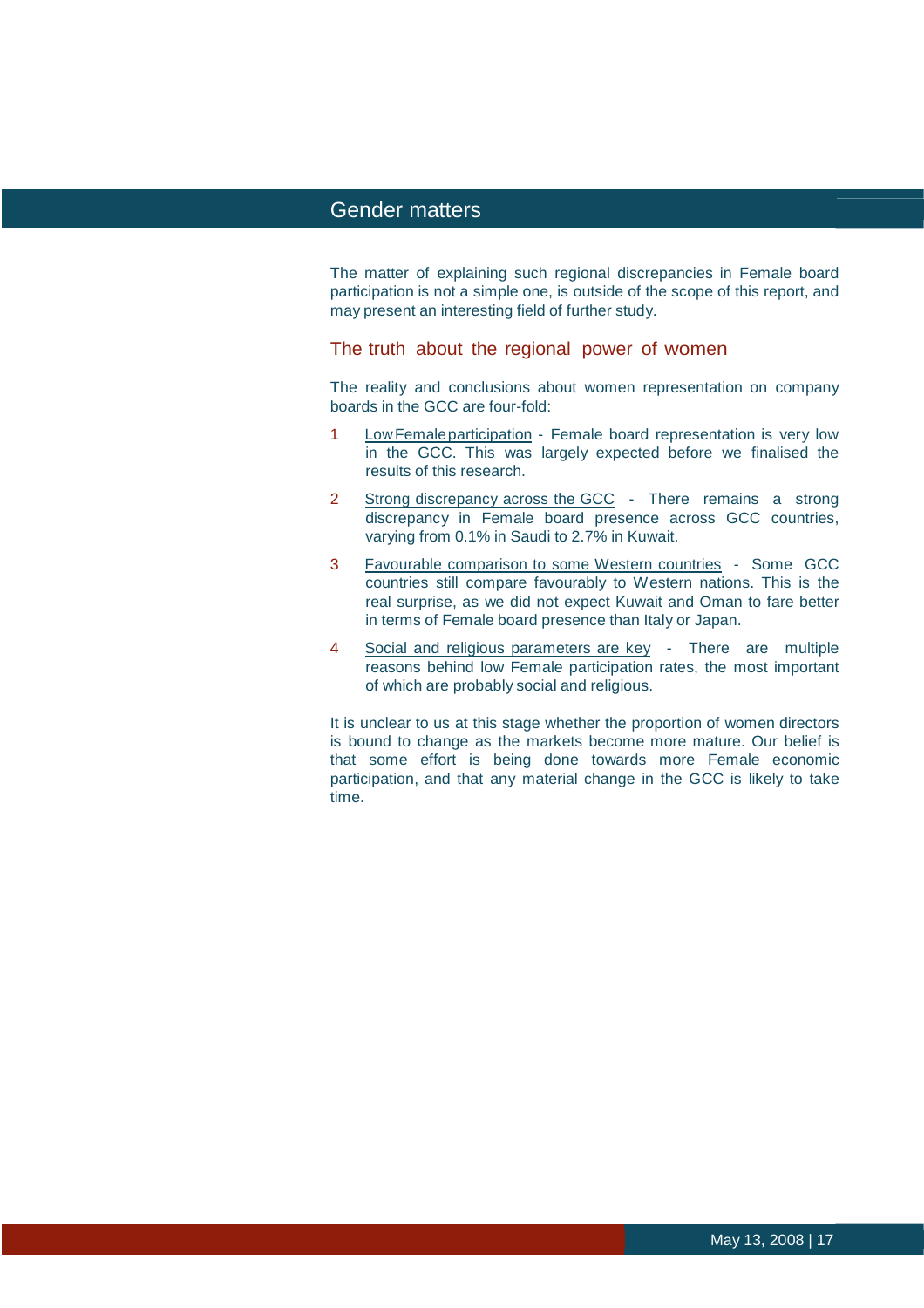### Gender matters

The matter of explaining such regional discrepancies in Female board participation is not a simple one, is outside of the scope of this report, and may present an interesting field of further study.

The truth about the regional power of women

The reality and conclusions about women representation on company boards in the GCC are four-fold:

- 1 LowFemaleparticipation Female board representation is very low in the GCC. This was largely expected before we finalised the results of this research.
- 2 Strong discrepancy across the GCC There remains a strong discrepancy in Female board presence across GCC countries, varying from 0.1% in Saudi to 2.7% in Kuwait.
- 3 Favourable comparison to some Western countries Some GCC countries still compare favourably to Western nations. This is the real surprise, as we did not expect Kuwait and Oman to fare better in terms of Female board presence than Italy or Japan.
- 4 Social and religious parameters are key There are multiple reasons behind low Female participation rates, the most important of which are probably social and religious.

It is unclear to us at this stage whether the proportion of women directors is bound to change as the markets become more mature. Our belief is that some effort is being done towards more Female economic participation, and that any material change in the GCC is likely to take time.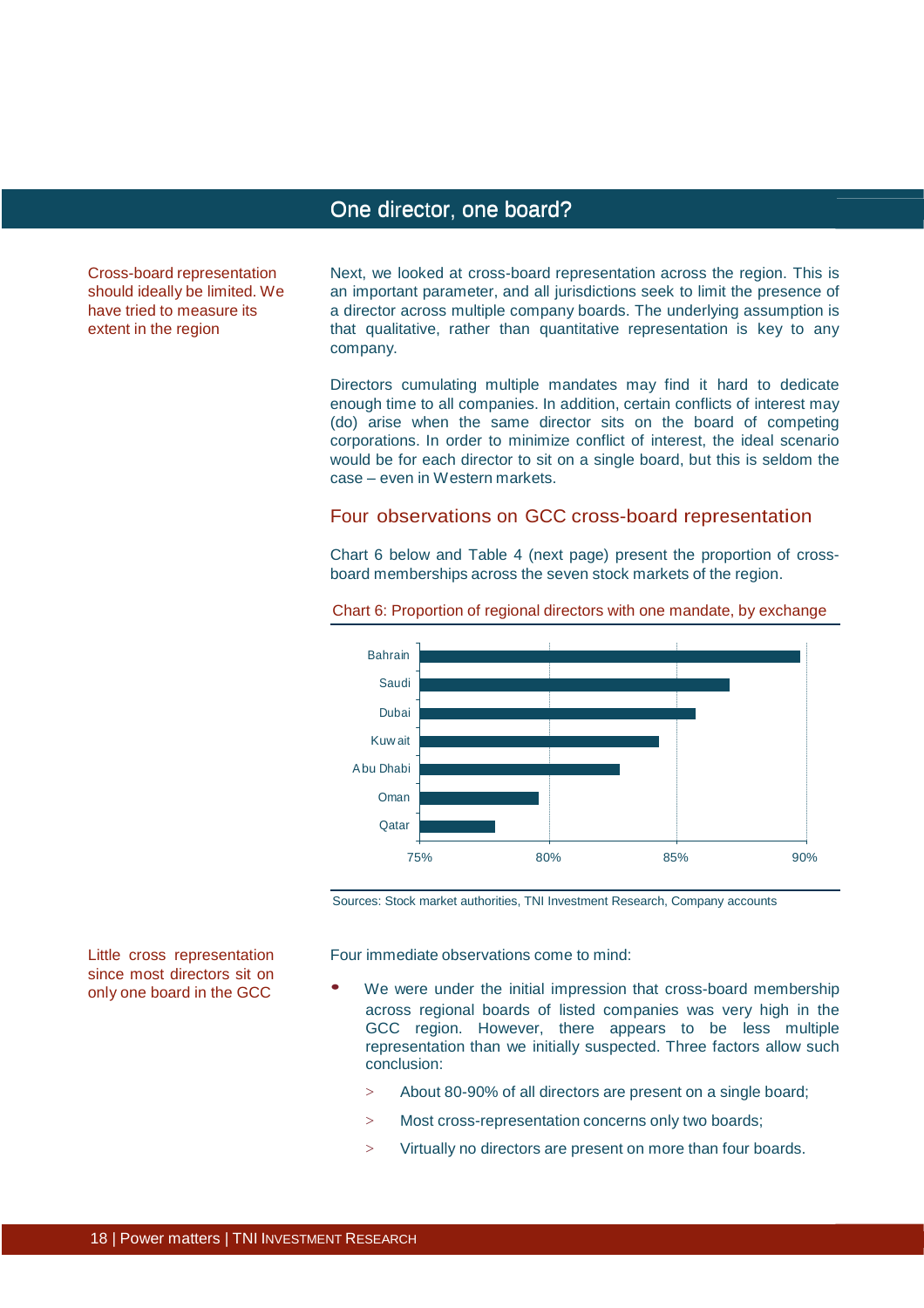### One director, one board?

Cross-board representation should ideally be limited. We have tried to measure its extent in the region

Next, we looked at cross-board representation across the region. This is an important parameter, and all jurisdictions seek to limit the presence of a director across multiple company boards. The underlying assumption is that qualitative, rather than quantitative representation is key to any company.

Directors cumulating multiple mandates may find it hard to dedicate enough time to all companies. In addition, certain conflicts of interest may (do) arise when the same director sits on the board of competing corporations. In order to minimize conflict of interest, the ideal scenario would be for each director to sit on a single board, but this is seldom the case – even in Western markets.

#### Four observations on GCC cross-board representation

Chart 6 below and Table 4 (next page) present the proportion of crossboard memberships across the seven stock markets of the region.



#### Chart 6: Proportion of regional directors with one mandate, by exchange

Sources: Stock market authorities, TNI Investment Research, Company accounts

Little cross representation since most directors sit on only one board in the GCC

Four immediate observations come to mind:

- We were under the initial impression that cross-board membership across regional boards of listed companies was very high in the GCC region. However, there appears to be less multiple representation than we initially suspected. Three factors allow such conclusion:
	- > About 80-90% of all directors are present on a single board;
	- Most cross-representation concerns only two boards;
	- > Virtually no directors are present on more than four boards.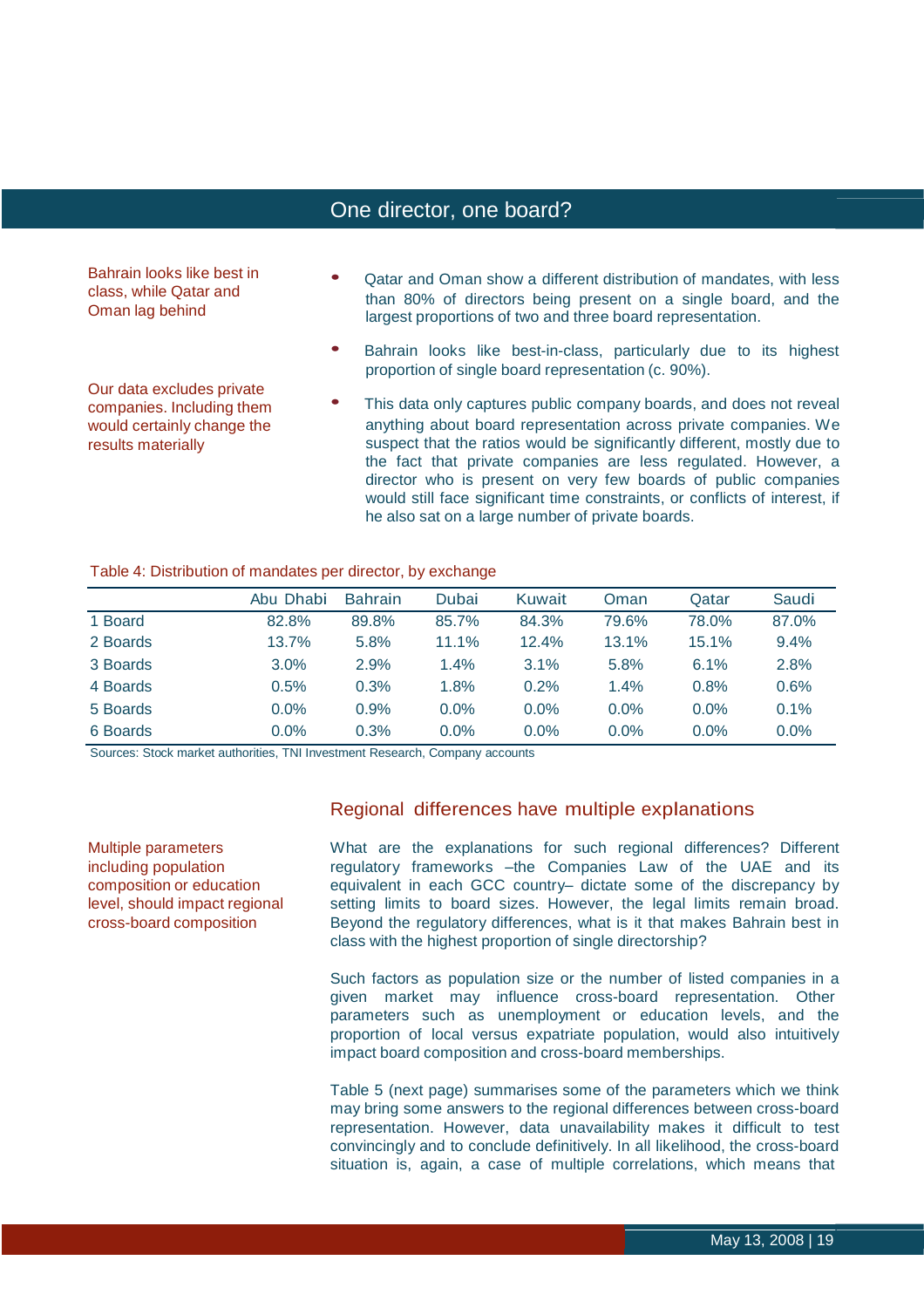### One director, one board?

Bahrain looks like best in class, while Qatar and Oman lag behind

Our data excludes private companies. Including them would certainly change the results materially

- Qatar and Oman show <sup>a</sup> different distribution of mandates, with less than 80% of directors being present on a single board, and the largest proportions of two and three board representation.
- Bahrain looks like best-in-class, particularly due to its highest proportion of single board representation (c. 90%).
- This data only captures public company boards, and does not reveal anything about board representation across private companies. We suspect that the ratios would be significantly different, mostly due to the fact that private companies are less regulated. However, a director who is present on very few boards of public companies would still face significant time constraints, or conflicts of interest, if he also sat on a large number of private boards.

#### Table 4: Distribution of mandates per director, by exchange

|          | Abu Dhabi | <b>Bahrain</b> | Dubai   | Kuwait  | Oman    | Qatar   | Saudi |
|----------|-----------|----------------|---------|---------|---------|---------|-------|
| 1 Board  | 82.8%     | 89.8%          | 85.7%   | 84.3%   | 79.6%   | 78.0%   | 87.0% |
| 2 Boards | 13.7%     | 5.8%           | 11.1%   | 12.4%   | 13.1%   | 15.1%   | 9.4%  |
| 3 Boards | 3.0%      | 2.9%           | 1.4%    | 3.1%    | 5.8%    | 6.1%    | 2.8%  |
| 4 Boards | 0.5%      | 0.3%           | 1.8%    | 0.2%    | 1.4%    | 0.8%    | 0.6%  |
| 5 Boards | $0.0\%$   | 0.9%           | $0.0\%$ | $0.0\%$ | $0.0\%$ | $0.0\%$ | 0.1%  |
| 6 Boards | $0.0\%$   | 0.3%           | $0.0\%$ | $0.0\%$ | $0.0\%$ | $0.0\%$ | 0.0%  |

Sources: Stock market authorities, TNI Investment Research, Company accounts

Multiple parameters including population composition or education level, should impact regional cross-board composition

### Regional differences have multiple explanations

What are the explanations for such regional differences? Different regulatory frameworks –the Companies Law of the UAE and its equivalent in each GCC country– dictate some of the discrepancy by setting limits to board sizes. However, the legal limits remain broad. Beyond the regulatory differences, what is it that makes Bahrain best in class with the highest proportion of single directorship?

Such factors as population size or the number of listed companies in a given market may influence cross-board representation. Other parameters such as unemployment or education levels, and the proportion of local versus expatriate population, would also intuitively impact board composition and cross-board memberships.

Table 5 (next page) summarises some of the parameters which we think may bring some answers to the regional differences between cross-board representation. However, data unavailability makes it difficult to test convincingly and to conclude definitively. In all likelihood, the cross-board situation is, again, a case of multiple correlations, which means that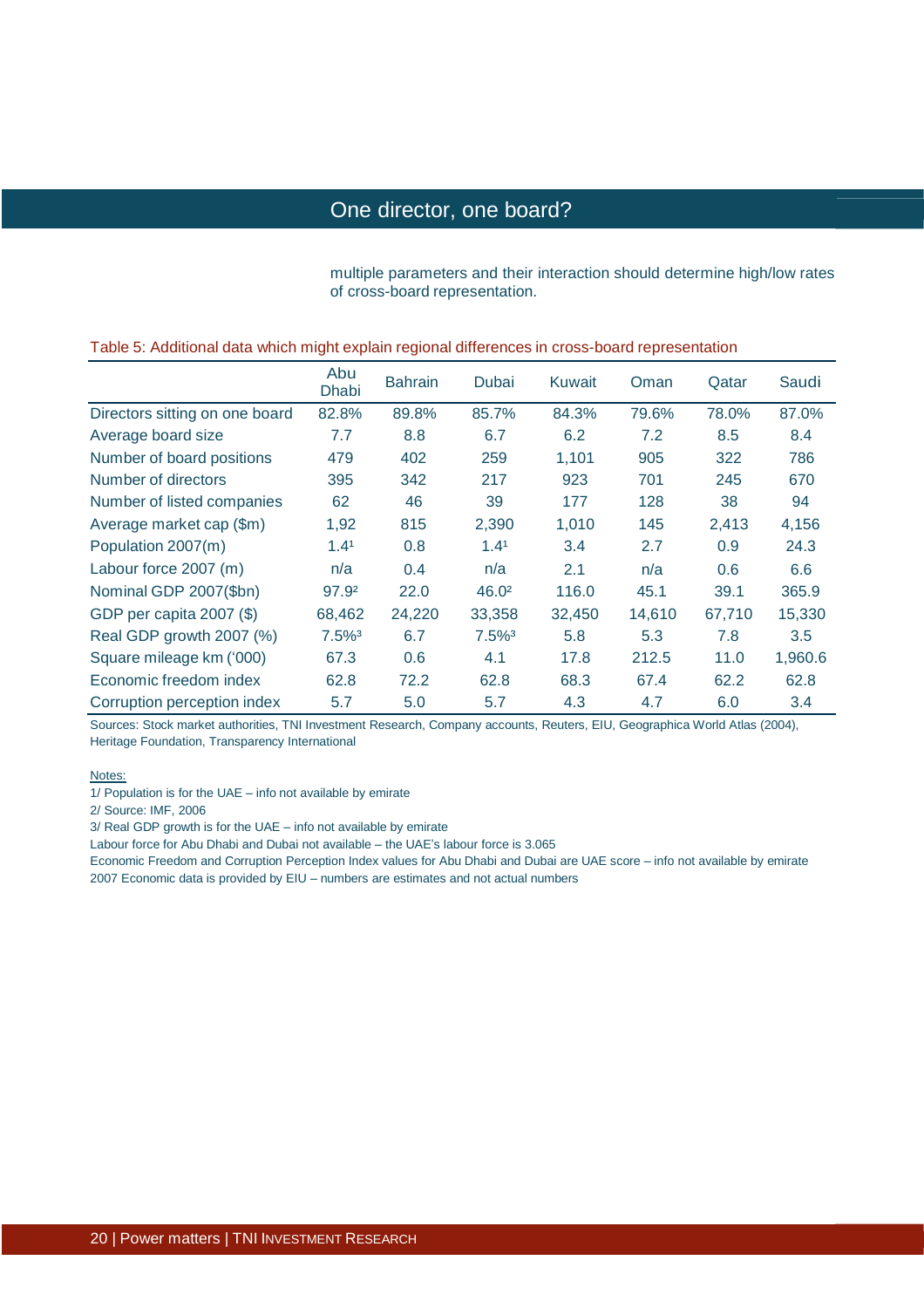## One director, one board?

multiple parameters and their interaction should determine high/low rates of cross-board representation.

|                                | Abu<br>Dhabi        | <b>Bahrain</b> | Dubai             | Kuwait | Oman   | Qatar  | Saudi   |
|--------------------------------|---------------------|----------------|-------------------|--------|--------|--------|---------|
| Directors sitting on one board | 82.8%               | 89.8%          | 85.7%             | 84.3%  | 79.6%  | 78.0%  | 87.0%   |
| Average board size             | 7.7                 | 8.8            | 6.7               | 6.2    | 7.2    | 8.5    | 8.4     |
| Number of board positions      | 479                 | 402            | 259               | 1,101  | 905    | 322    | 786     |
| Number of directors            | 395                 | 342            | 217               | 923    | 701    | 245    | 670     |
| Number of listed companies     | 62                  | 46             | 39                | 177    | 128    | 38     | 94      |
| Average market cap (\$m)       | 1,92                | 815            | 2,390             | 1,010  | 145    | 2,413  | 4,156   |
| Population 2007(m)             | 1.4 <sup>1</sup>    | 0.8            | 1.4 <sup>1</sup>  | 3.4    | 2.7    | 0.9    | 24.3    |
| Labour force 2007 (m)          | n/a                 | 0.4            | n/a               | 2.1    | n/a    | 0.6    | 6.6     |
| Nominal GDP 2007(\$bn)         | 97.92               | 22.0           | 46.0 <sup>2</sup> | 116.0  | 45.1   | 39.1   | 365.9   |
| GDP per capita 2007 (\$)       | 68,462              | 24,220         | 33,358            | 32,450 | 14,610 | 67,710 | 15,330  |
| Real GDP growth 2007 (%)       | $7.5%$ <sup>3</sup> | 6.7            | 7.5%3             | 5.8    | 5.3    | 7.8    | 3.5     |
| Square mileage km ('000)       | 67.3                | 0.6            | 4.1               | 17.8   | 212.5  | 11.0   | 1,960.6 |
| Economic freedom index         | 62.8                | 72.2           | 62.8              | 68.3   | 67.4   | 62.2   | 62.8    |
| Corruption perception index    | 5.7                 | 5.0            | 5.7               | 4.3    | 4.7    | 6.0    | 3.4     |

#### Table 5: Additional data which might explain regional differences in cross-board representation

Sources: Stock market authorities, TNI Investment Research, Company accounts, Reuters, EIU, Geographica World Atlas (2004), Heritage Foundation, Transparency International

#### Notes:

1/ Population is for the UAE – info not available by emirate

2/ Source: IMF, 2006

3/ Real GDP growth is for the UAE – info not available by emirate

Labour force for Abu Dhabi and Dubai not available – the UAE's labour force is 3.065

Economic Freedom and Corruption Perception Index values for Abu Dhabi and Dubai are UAE score – info not available by emirate 2007 Economic data is provided by EIU – numbers are estimates and not actual numbers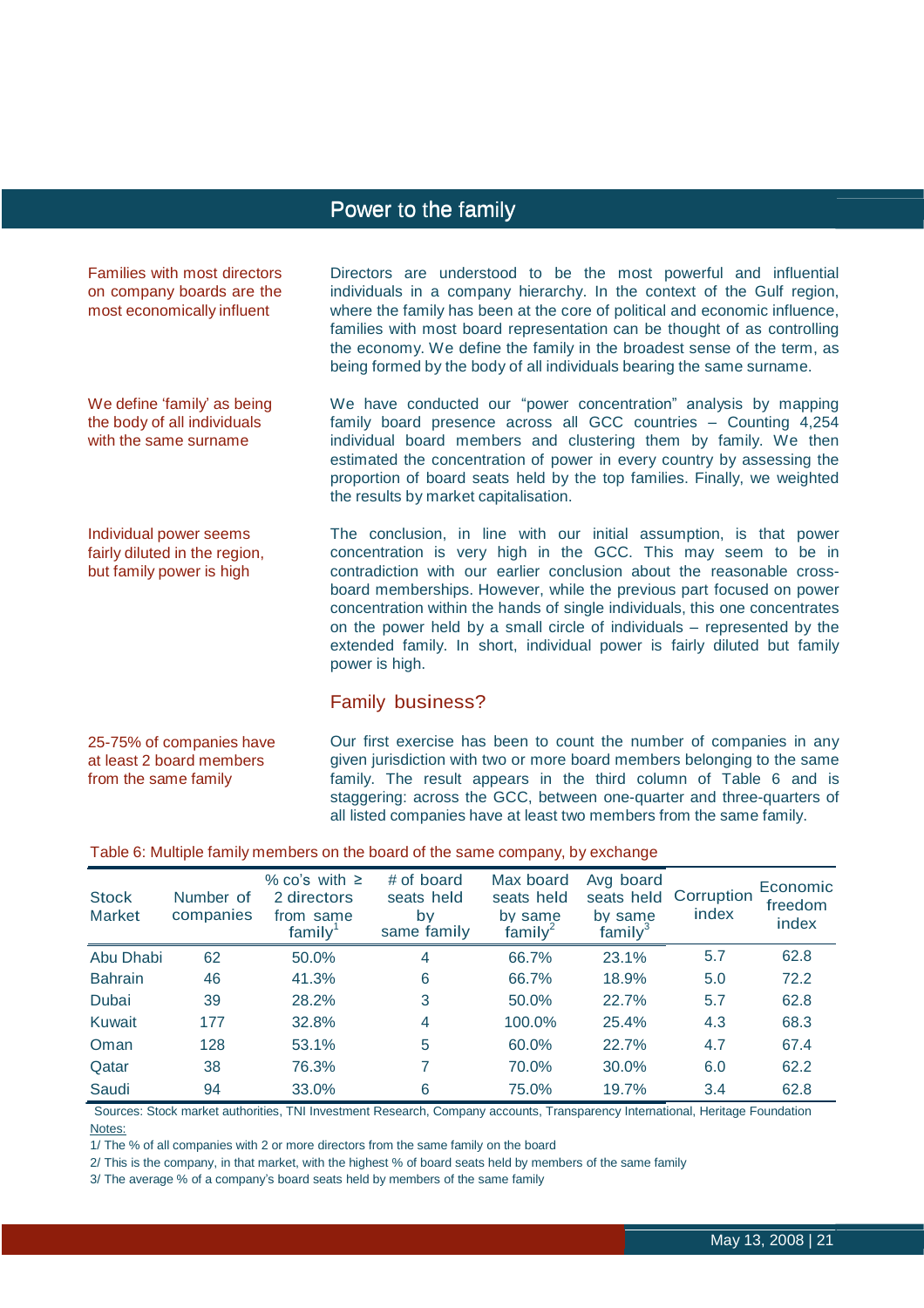| <b>Families with most directors</b><br>on company boards are the<br>most economically influent | Directors are understood to be the most powerful and influential<br>individuals in a company hierarchy. In the context of the Gulf region,<br>where the family has been at the core of political and economic influence,<br>families with most board representation can be thought of as controlling<br>the economy. We define the family in the broadest sense of the term, as<br>being formed by the body of all individuals bearing the same surname.                                                                                     |
|------------------------------------------------------------------------------------------------|----------------------------------------------------------------------------------------------------------------------------------------------------------------------------------------------------------------------------------------------------------------------------------------------------------------------------------------------------------------------------------------------------------------------------------------------------------------------------------------------------------------------------------------------|
| We define 'family' as being<br>the body of all individuals<br>with the same surname            | We have conducted our "power concentration" analysis by mapping<br>family board presence across all GCC countries - Counting 4,254<br>individual board members and clustering them by family. We then<br>estimated the concentration of power in every country by assessing the<br>proportion of board seats held by the top families. Finally, we weighted<br>the results by market capitalisation.                                                                                                                                         |
| Individual power seems<br>fairly diluted in the region,<br>but family power is high            | The conclusion, in line with our initial assumption, is that power<br>concentration is very high in the GCC. This may seem to be in<br>contradiction with our earlier conclusion about the reasonable cross-<br>board memberships. However, while the previous part focused on power<br>concentration within the hands of single individuals, this one concentrates<br>on the power held by a small circle of individuals – represented by the<br>extended family. In short, individual power is fairly diluted but family<br>power is high. |
|                                                                                                | <b>Family business?</b>                                                                                                                                                                                                                                                                                                                                                                                                                                                                                                                      |
| 25-75% of companies have<br>at least 2 board members<br>from the same family                   | Our first exercise has been to count the number of companies in any<br>given jurisdiction with two or more board members belonging to the same<br>family. The result appears in the third column of Table 6 and is<br>staggering: across the GCC, between one-quarter and three-quarters of<br>all listed companies have at least two members from the same family.                                                                                                                                                                          |

| <b>Stock</b><br><b>Market</b> | Number of<br>companies | % co's with $\ge$<br>2 directors<br>from same<br>family <sup>1</sup> | # of board<br>seats held<br>by<br>same family | Max board<br>seats held<br>by same<br>family <sup>2</sup> | Avg board<br>seats held<br>by same<br>family $3$ | Corruption<br>index | Economic<br>freedom<br>index |
|-------------------------------|------------------------|----------------------------------------------------------------------|-----------------------------------------------|-----------------------------------------------------------|--------------------------------------------------|---------------------|------------------------------|
| Abu Dhabi                     | 62                     | 50.0%                                                                | 4                                             | 66.7%                                                     | 23.1%                                            | 5.7                 | 62.8                         |
| <b>Bahrain</b>                | 46                     | 41.3%                                                                | 6                                             | 66.7%                                                     | 18.9%                                            | 5.0                 | 72.2                         |
| Dubai                         | 39                     | 28.2%                                                                | 3                                             | 50.0%                                                     | 22.7%                                            | 5.7                 | 62.8                         |
| Kuwait                        | 177                    | 32.8%                                                                | 4                                             | 100.0%                                                    | 25.4%                                            | 4.3                 | 68.3                         |
| Oman                          | 128                    | 53.1%                                                                | 5                                             | 60.0%                                                     | 22.7%                                            | 4.7                 | 67.4                         |
| Qatar                         | 38                     | 76.3%                                                                |                                               | 70.0%                                                     | 30.0%                                            | 6.0                 | 62.2                         |
| Saudi                         | 94                     | 33.0%                                                                | 6                                             | 75.0%                                                     | 19.7%                                            | 3.4                 | 62.8                         |

#### Table 6: Multiple family members on the board of the same company, by exchange

Sources: Stock market authorities, TNI Investment Research, Company accounts, Transparency International, Heritage Foundation Notes:

1/ The % of all companies with 2 or more directors from the same family on the board

2/ This is the company, in that market, with the highest % of board seats held by members of the same family

3/ The average % of a company's board seats held by members of the same family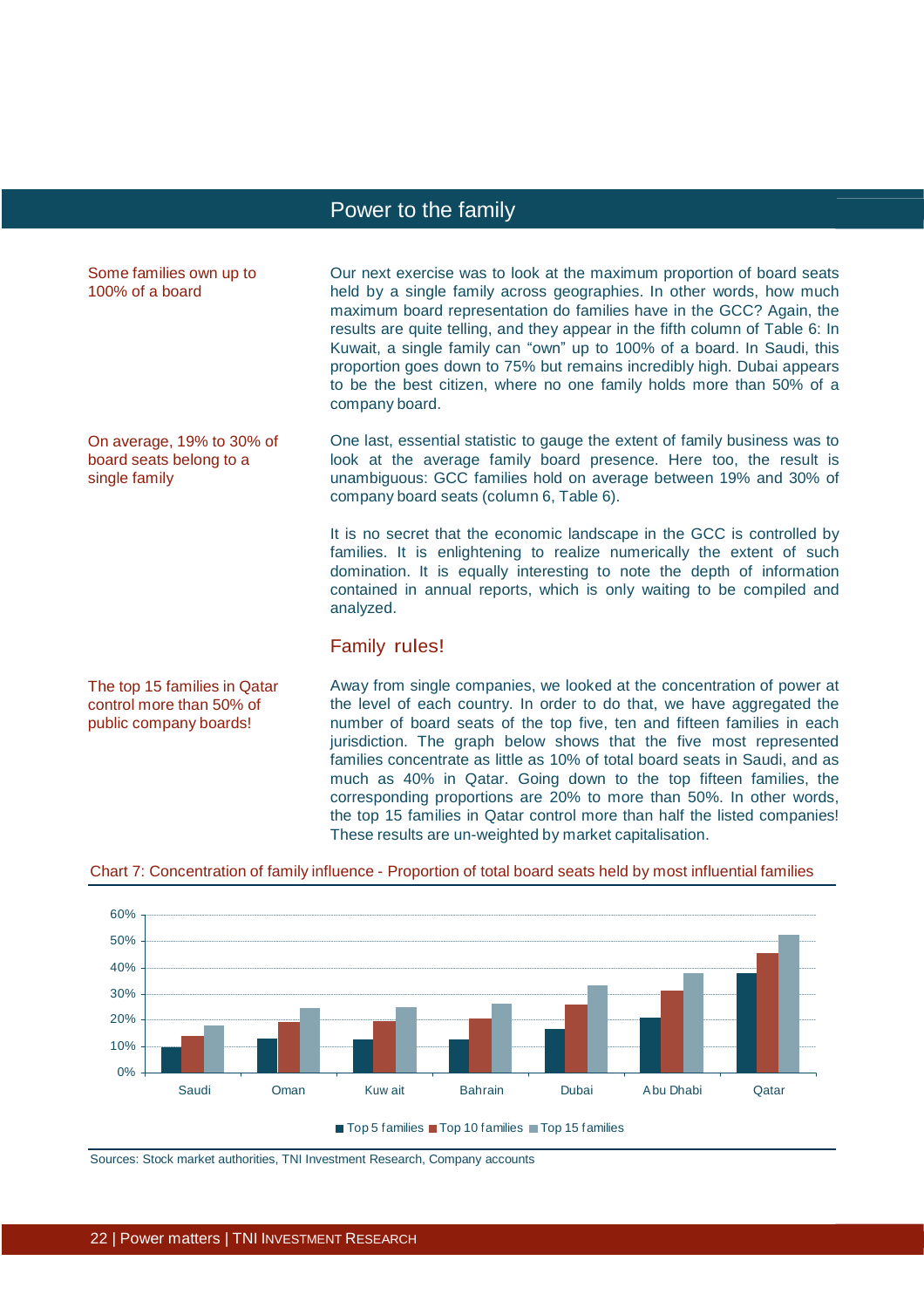| Some families own up to<br>100% of a board                                         | Our next exercise was to look at the maximum proportion of board seats<br>held by a single family across geographies. In other words, how much<br>maximum board representation do families have in the GCC? Again, the<br>results are quite telling, and they appear in the fifth column of Table 6: In<br>Kuwait, a single family can "own" up to 100% of a board. In Saudi, this<br>proportion goes down to 75% but remains incredibly high. Dubai appears<br>to be the best citizen, where no one family holds more than 50% of a<br>company board. |
|------------------------------------------------------------------------------------|--------------------------------------------------------------------------------------------------------------------------------------------------------------------------------------------------------------------------------------------------------------------------------------------------------------------------------------------------------------------------------------------------------------------------------------------------------------------------------------------------------------------------------------------------------|
| On average, 19% to 30% of<br>board seats belong to a<br>single family              | One last, essential statistic to gauge the extent of family business was to<br>look at the average family board presence. Here too, the result is<br>unambiguous: GCC families hold on average between 19% and 30% of<br>company board seats (column 6, Table 6).                                                                                                                                                                                                                                                                                      |
|                                                                                    | It is no secret that the economic landscape in the GCC is controlled by<br>families. It is enlightening to realize numerically the extent of such<br>domination. It is equally interesting to note the depth of information<br>contained in annual reports, which is only waiting to be compiled and<br>analyzed.                                                                                                                                                                                                                                      |
|                                                                                    | <b>Family rules!</b>                                                                                                                                                                                                                                                                                                                                                                                                                                                                                                                                   |
| The top 15 families in Qatar<br>control more than 50% of<br>public company boards! | Away from single companies, we looked at the concentration of power at<br>the level of each country. In order to do that, we have aggregated the<br>number of board seats of the top five, ten and fifteen families in each                                                                                                                                                                                                                                                                                                                            |

jurisdiction. The graph below shows that the five most represented families concentrate as little as 10% of total board seats in Saudi, and as much as 40% in Qatar. Going down to the top fifteen families, the corresponding proportions are 20% to more than 50%. In other words, the top 15 families in Qatar control more than half the listed companies! These results are un-weighted by market capitalisation.



Chart 7: Concentration of family influence - Proportion of total board seats held by most influential families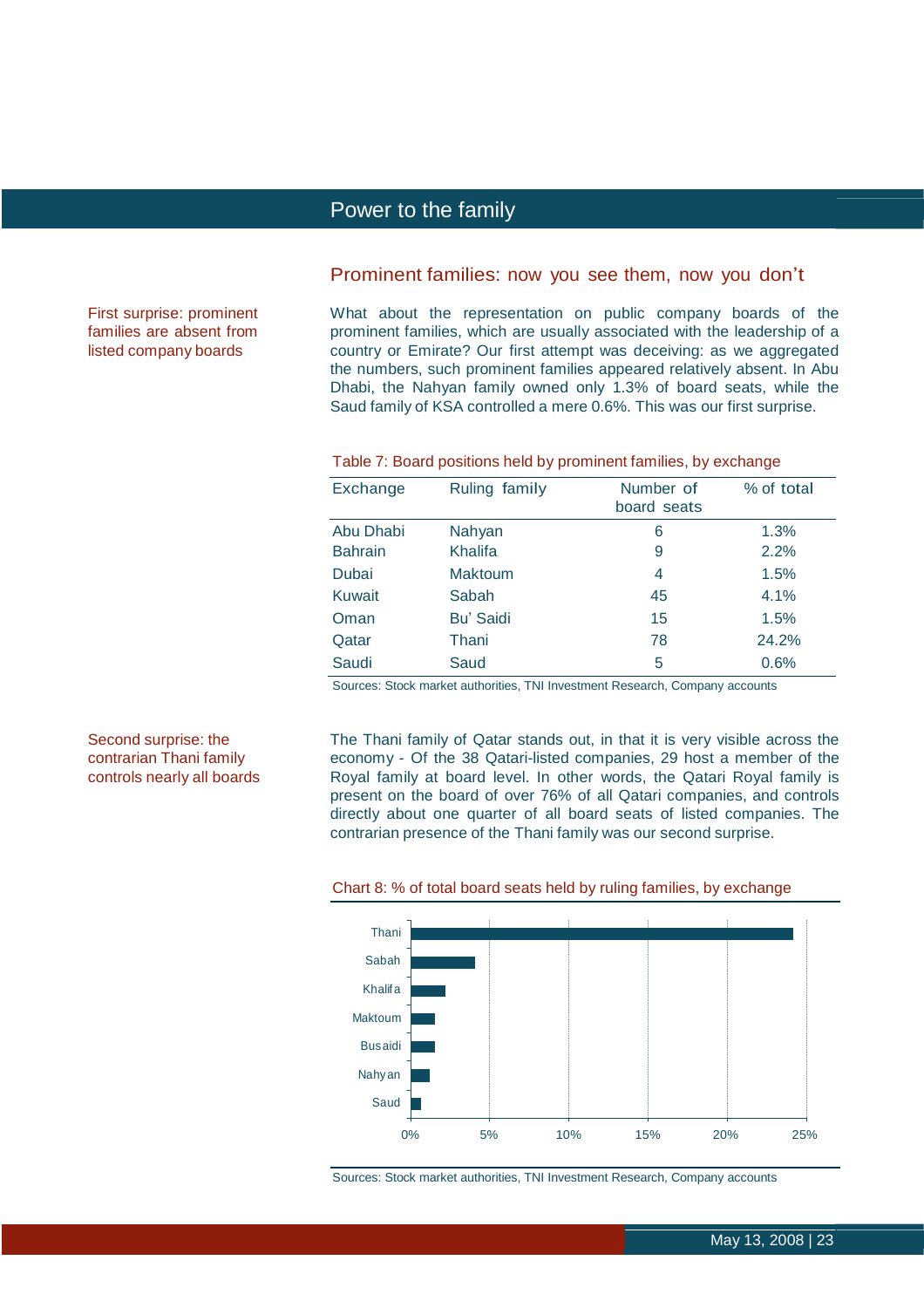#### Prominent families: now you see them, now you don't

What about the representation on public company boards of the prominent families, which are usually associated with the leadership of a country or Emirate? Our first attempt was deceiving: as we aggregated the numbers, such prominent families appeared relatively absent. In Abu Dhabi, the Nahyan family owned only 1.3% of board seats, while the Saud family of KSA controlled a mere 0.6%. This was our first surprise.

#### Table 7: Board positions held by prominent families, by exchange

| Exchange       | Ruling family  | Number of<br>board seats | % of total |
|----------------|----------------|--------------------------|------------|
| Abu Dhabi      | Nahyan         | 6                        | 1.3%       |
| <b>Bahrain</b> | Khalifa        | 9                        | 2.2%       |
| Dubai          | <b>Maktoum</b> | 4                        | 1.5%       |
| <b>Kuwait</b>  | Sabah          | 45                       | 4.1%       |
| Oman           | Bu' Saidi      | 15                       | 1.5%       |
| Qatar          | Thani          | 78                       | 24.2%      |
| Saudi          | Saud           | 5                        | 0.6%       |

Sources: Stock market authorities, TNI Investment Research, Company accounts

Second surprise: the contrarian Thani family controls nearly all boards

First surprise: prominent families are absent from listed company boards

> The Thani family of Qatar stands out, in that it is very visible across the economy - Of the 38 Qatari-listed companies, 29 host a member of the Royal family at board level. In other words, the Qatari Royal family is present on the board of over 76% of all Qatari companies, and controls directly about one quarter of all board seats of listed companies. The contrarian presence of the Thani family was our second surprise.

## Chart 8: % of total board seats held by ruling families, by exchange

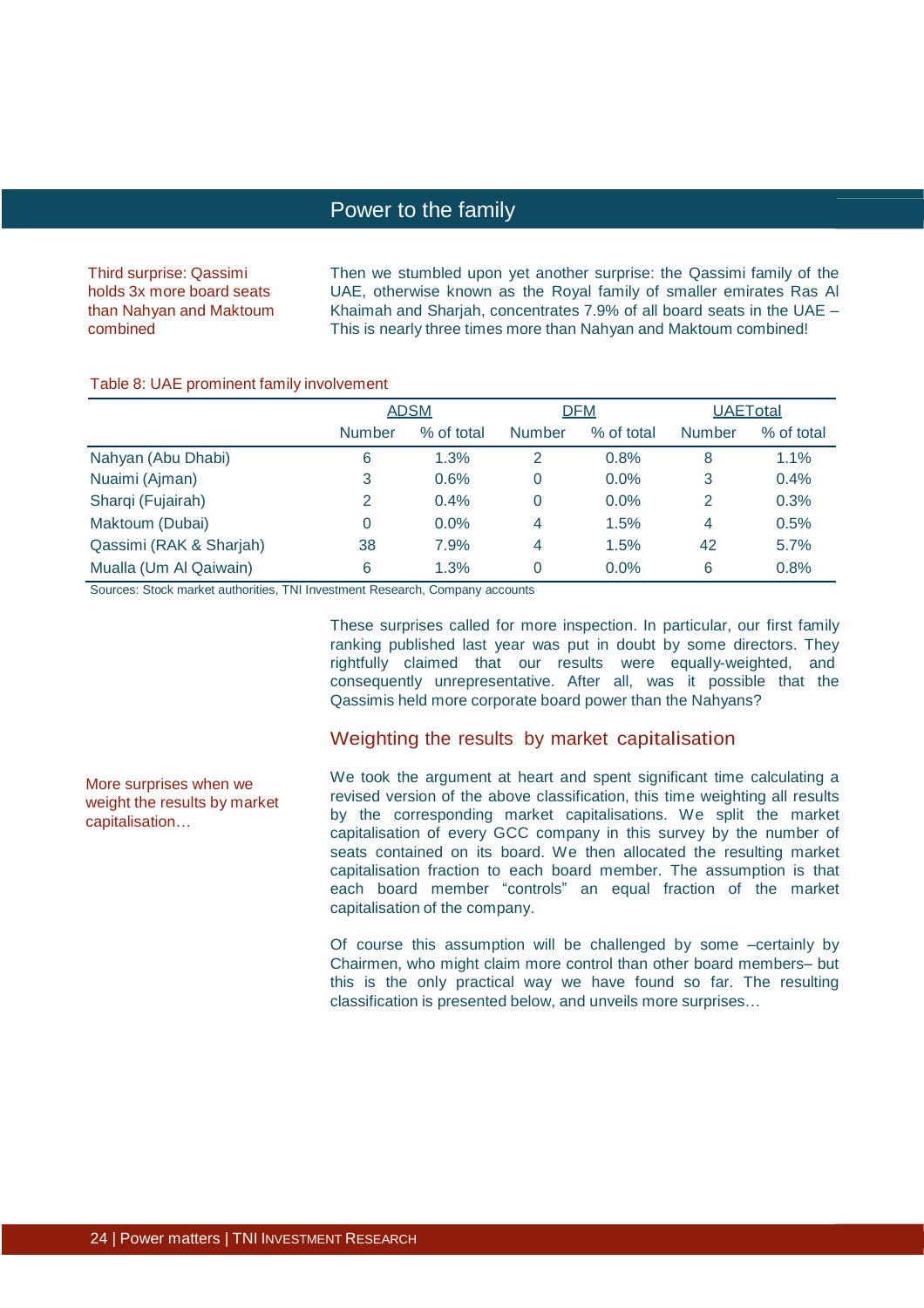Third surprise: Qassimi holds 3x more board seats than Nahyan and Maktoum combined

Then we stumbled upon yet another surprise: the Qassimi family of the UAE, otherwise known as the Royal family of smaller emirates Ras Al Khaimah and Sharjah, concentrates 7.9% of all board seats in the UAE – This is nearly three times more than Nahyan and Maktoum combined!

#### Table 8: UAE prominent family involvement

|                         | <b>ADSM</b>   |            |        | <b>DFM</b> | <b>UAETotal</b> |            |
|-------------------------|---------------|------------|--------|------------|-----------------|------------|
|                         | <b>Number</b> | % of total | Number | % of total | <b>Number</b>   | % of total |
| Nahyan (Abu Dhabi)      | 6             | 1.3%       | 2      | 0.8%       | 8               | 1.1%       |
| Nuaimi (Ajman)          | 3             | 0.6%       |        | $0.0\%$    | 3               | 0.4%       |
| Sharqi (Fujairah)       | 2             | $0.4\%$    | 0      | 0.0%       | 2               | 0.3%       |
| Maktoum (Dubai)         | 0             | $0.0\%$    | 4      | 1.5%       | 4               | 0.5%       |
| Qassimi (RAK & Sharjah) | 38            | 7.9%       | 4      | 1.5%       | 42              | 5.7%       |
| Mualla (Um Al Qaiwain)  | 6             | 1.3%       | 0      | $0.0\%$    | 6               | 0.8%       |

Sources: Stock market authorities, TNI Investment Research, Company accounts

These surprises called for more inspection. In particular, our first family ranking published last year was put in doubt by some directors. They rightfully claimed that our results were equally-weighted, and consequently unrepresentative. After all, was it possible that the Qassimis held more corporate board power than the Nahyans?

#### Weighting the results by market capitalisation

More surprises when we weight the results by market capitalisation…

We took the argument at heart and spent significant time calculating a revised version of the above classification, this time weighting all results by the corresponding market capitalisations. We split the market capitalisation of every GCC company in this survey by the number of seats contained on its board. We then allocated the resulting market capitalisation fraction to each board member. The assumption is that each board member "controls" an equal fraction of the market capitalisation of the company.

Of course this assumption will be challenged by some –certainly by Chairmen, who might claim more control than other board members– but this is the only practical way we have found so far. The resulting classification is presented below, and unveils more surprises…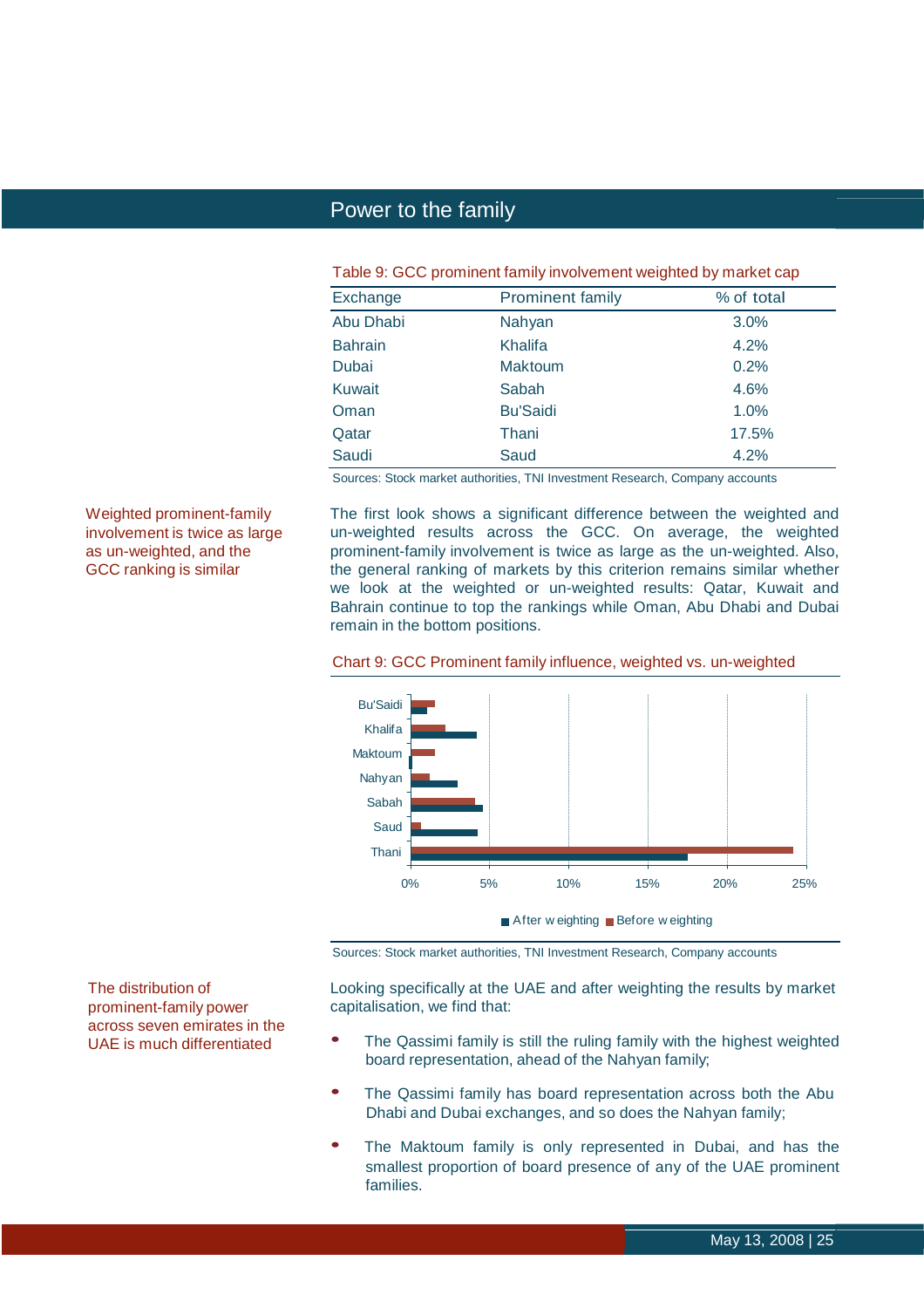#### Table 9: GCC prominent family involvement weighted by market cap

| Exchange       | <b>Prominent family</b> | % of total |
|----------------|-------------------------|------------|
| Abu Dhabi      | Nahyan                  | 3.0%       |
| <b>Bahrain</b> | Khalifa                 | 4.2%       |
| Dubai          | <b>Maktoum</b>          | 0.2%       |
| Kuwait         | Sabah                   | 4.6%       |
| Oman           | <b>Bu'Saidi</b>         | 1.0%       |
| Qatar          | Thani                   | 17.5%      |
| Saudi          | Saud                    | 4.2%       |

Sources: Stock market authorities, TNI Investment Research, Company accounts

The first look shows a significant difference between the weighted and un-weighted results across the GCC. On average, the weighted prominent-family involvement is twice as large as the un-weighted. Also, the general ranking of markets by this criterion remains similar whether we look at the weighted or un-weighted results: Qatar, Kuwait and Bahrain continue to top the rankings while Oman, Abu Dhabi and Dubai remain in the bottom positions.





Sources: Stock market authorities, TNI Investment Research, Company accounts

Looking specifically at the UAE and after weighting the results by market capitalisation, we find that:

- The Qassimi family is still the ruling family with the highest weighted board representation, ahead of the Nahyan family;
- The Qassimi family has board representation across both the Abu Dhabi and Dubai exchanges, and so does the Nahyan family;
- The Maktoum family is only represented in Dubai, and has the smallest proportion of board presence of any of the UAE prominent families.

Weighted prominent-family involvement is twice as large as un-weighted, and the GCC ranking is similar

The distribution of prominent-family power across seven emirates in the UAE is much differentiated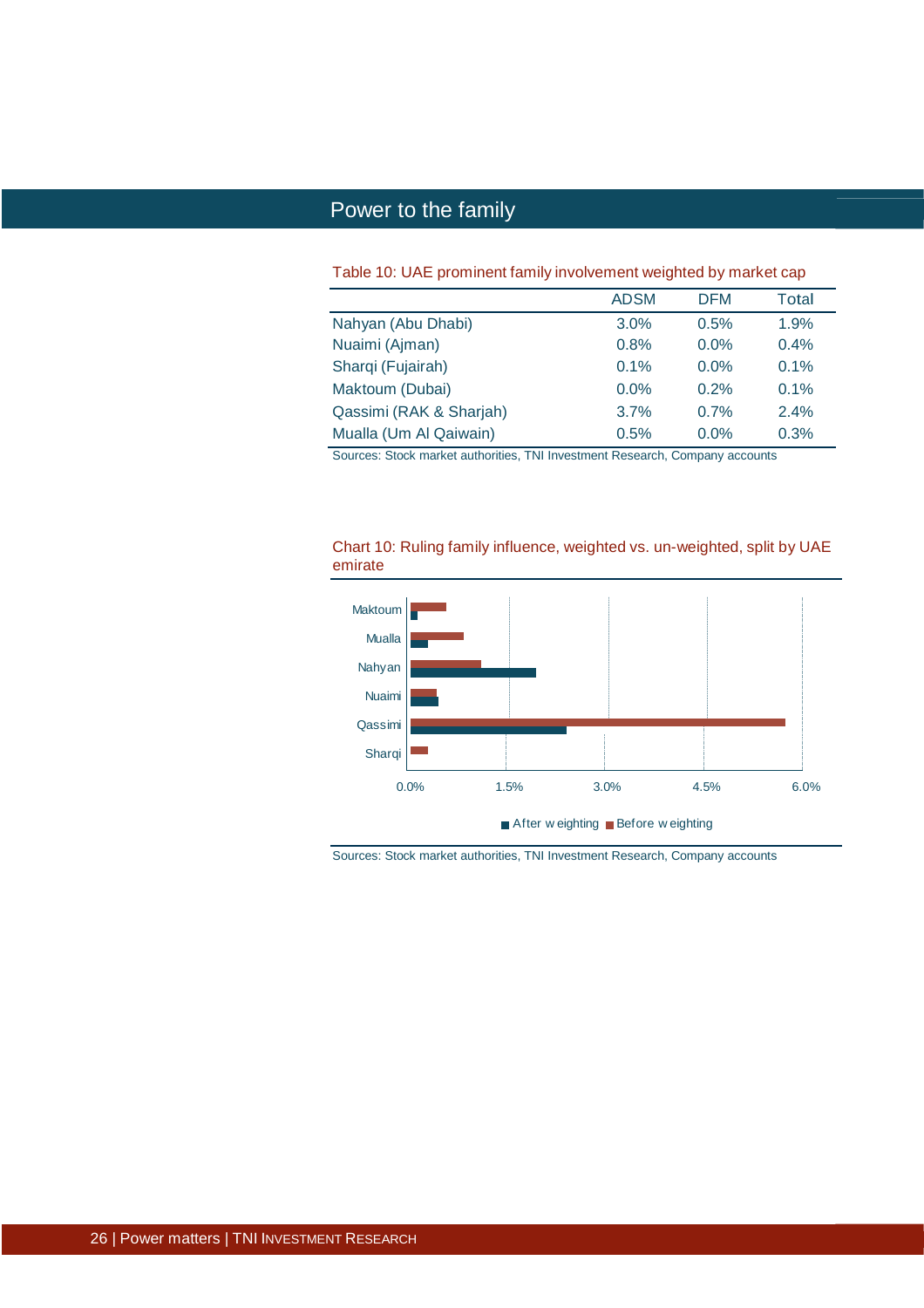#### Table 10: UAE prominent family involvement weighted by market cap

|                         | <b>ADSM</b> | <b>DFM</b> | Total |
|-------------------------|-------------|------------|-------|
| Nahyan (Abu Dhabi)      | 3.0%        | 0.5%       | 1.9%  |
| Nuaimi (Ajman)          | 0.8%        | 0.0%       | 0.4%  |
| Sharqi (Fujairah)       | 0.1%        | $0.0\%$    | 0.1%  |
| Maktoum (Dubai)         | $0.0\%$     | 0.2%       | 0.1%  |
| Qassimi (RAK & Sharjah) | 3.7%        | 0.7%       | 2.4%  |
| Mualla (Um Al Qaiwain)  | 0.5%        | $0.0\%$    | 0.3%  |

Sources: Stock market authorities, TNI Investment Research, Company accounts

#### Chart 10: Ruling family influence, weighted vs. un-weighted, split by UAE emirate

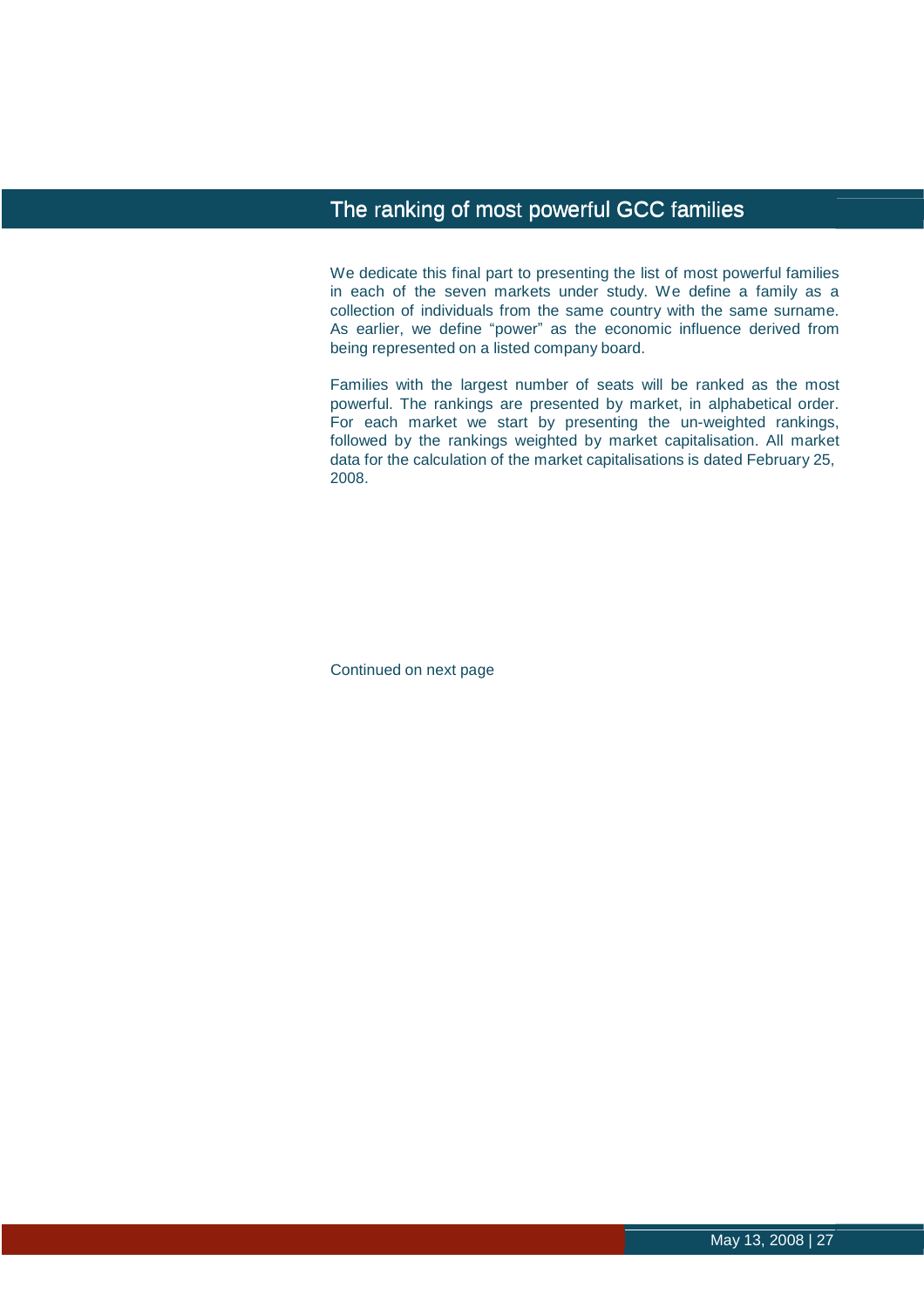We dedicate this final part to presenting the list of most powerful families in each of the seven markets under study. We define a family as a collection of individuals from the same country with the same surname. As earlier, we define "power" as the economic influence derived from being represented on a listed company board.

Families with the largest number of seats will be ranked as the most powerful. The rankings are presented by market, in alphabetical order. For each market we start by presenting the un-weighted rankings, followed by the rankings weighted by market capitalisation. All market data for the calculation of the market capitalisations is dated February 25, 2008.

Continued on next page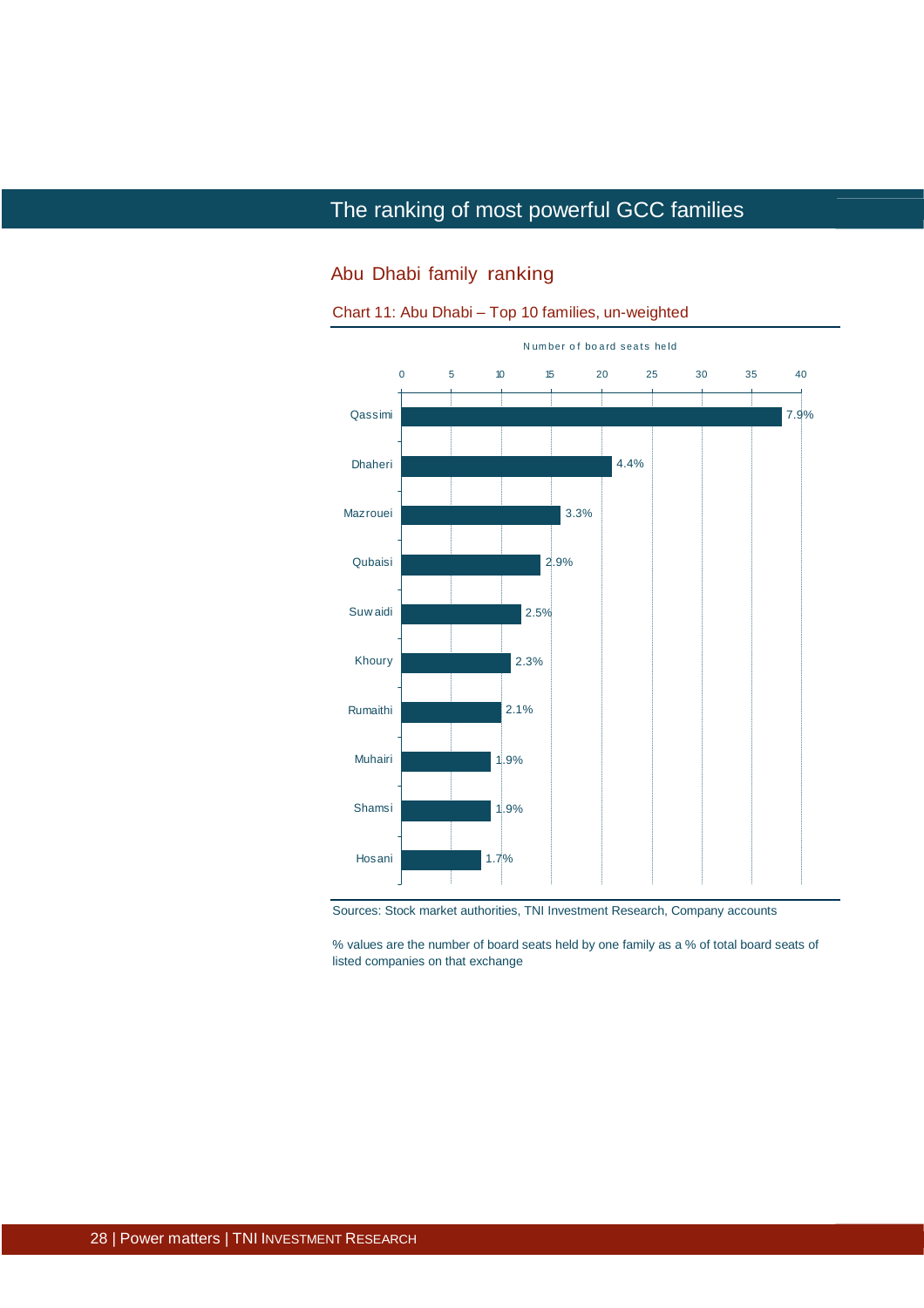## Abu Dhabi family ranking

Chart 11: Abu Dhabi – Top 10 families, un-weighted



Sources: Stock market authorities, TNI Investment Research, Company accounts

% values are the number of board seats held by one family as a % of total board seats of listed companies on that exchange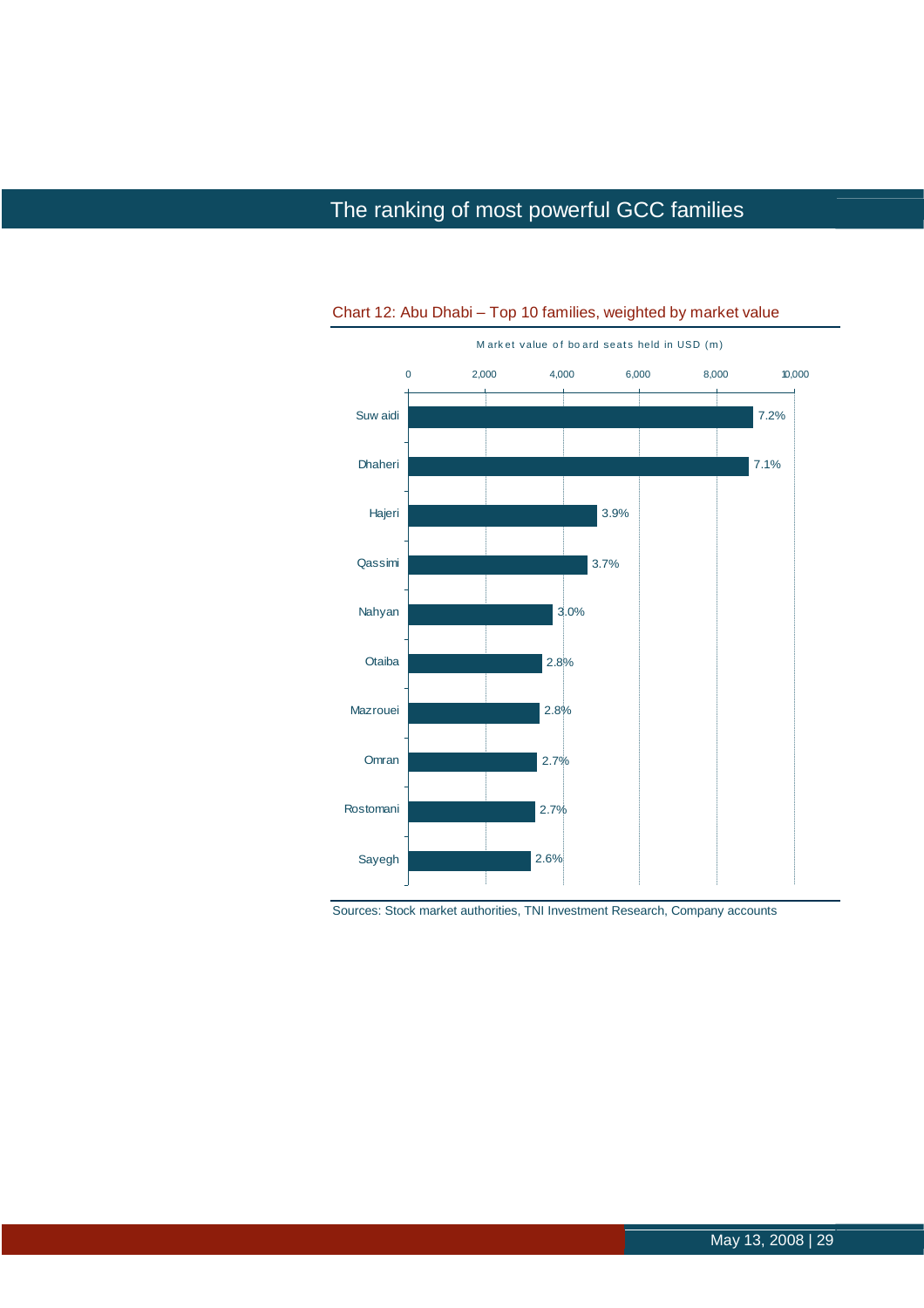

#### Chart 12: Abu Dhabi – Top 10 families, weighted by market value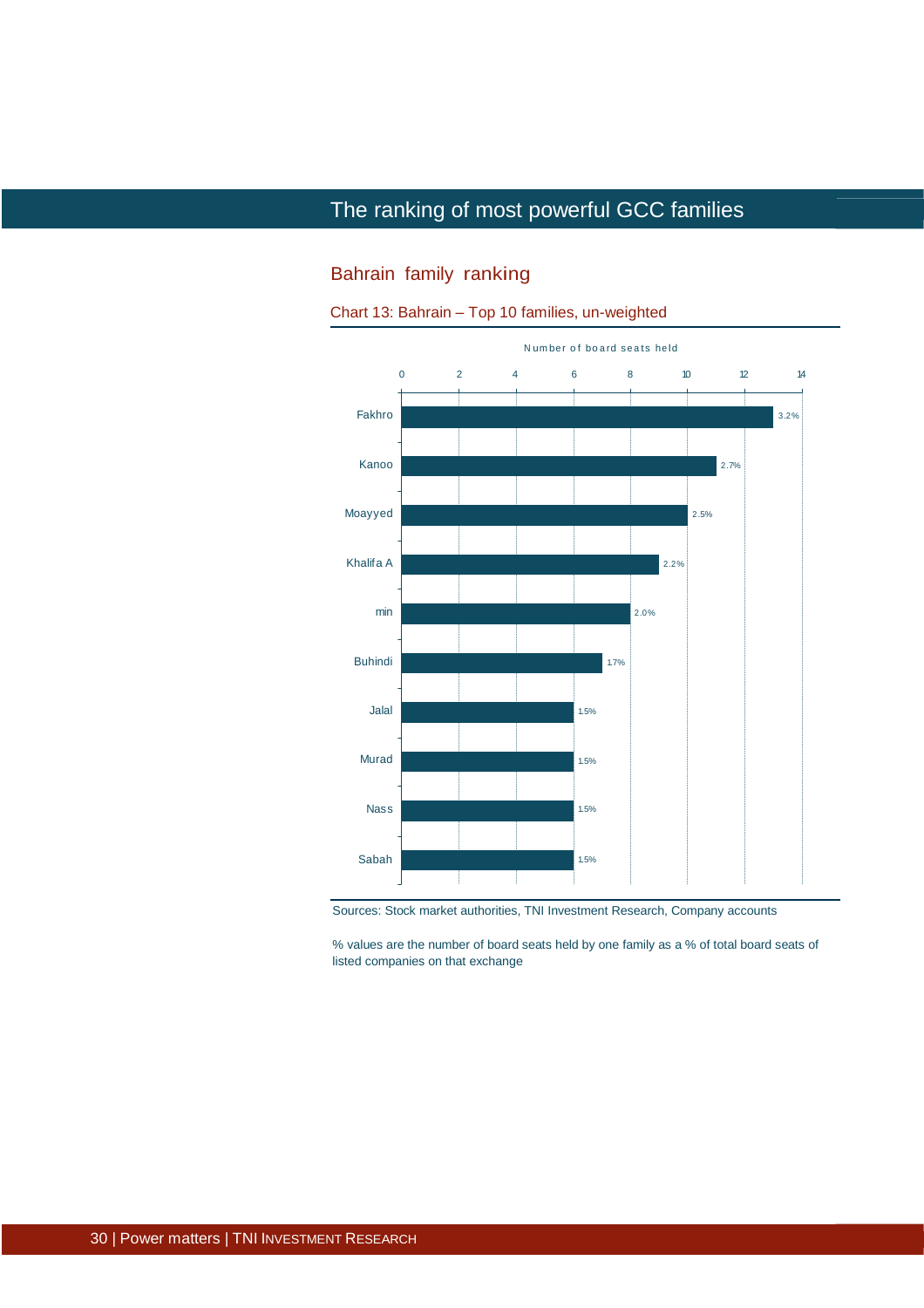### Bahrain family ranking

Chart 13: Bahrain – Top 10 families, un-weighted



Sources: Stock market authorities, TNI Investment Research, Company accounts

% values are the number of board seats held by one family as a % of total board seats of listed companies on that exchange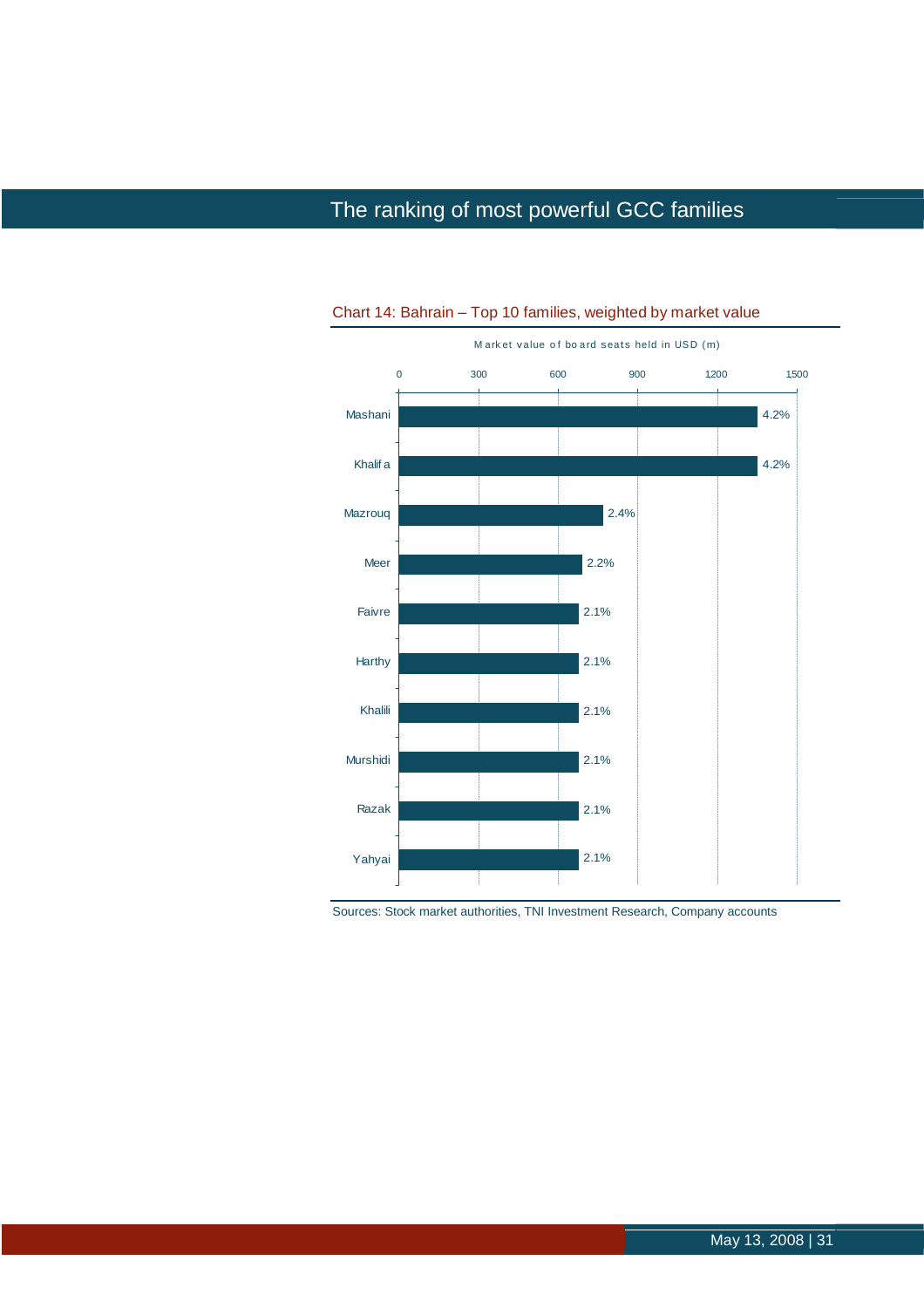

#### Chart 14: Bahrain – Top 10 families, weighted by market value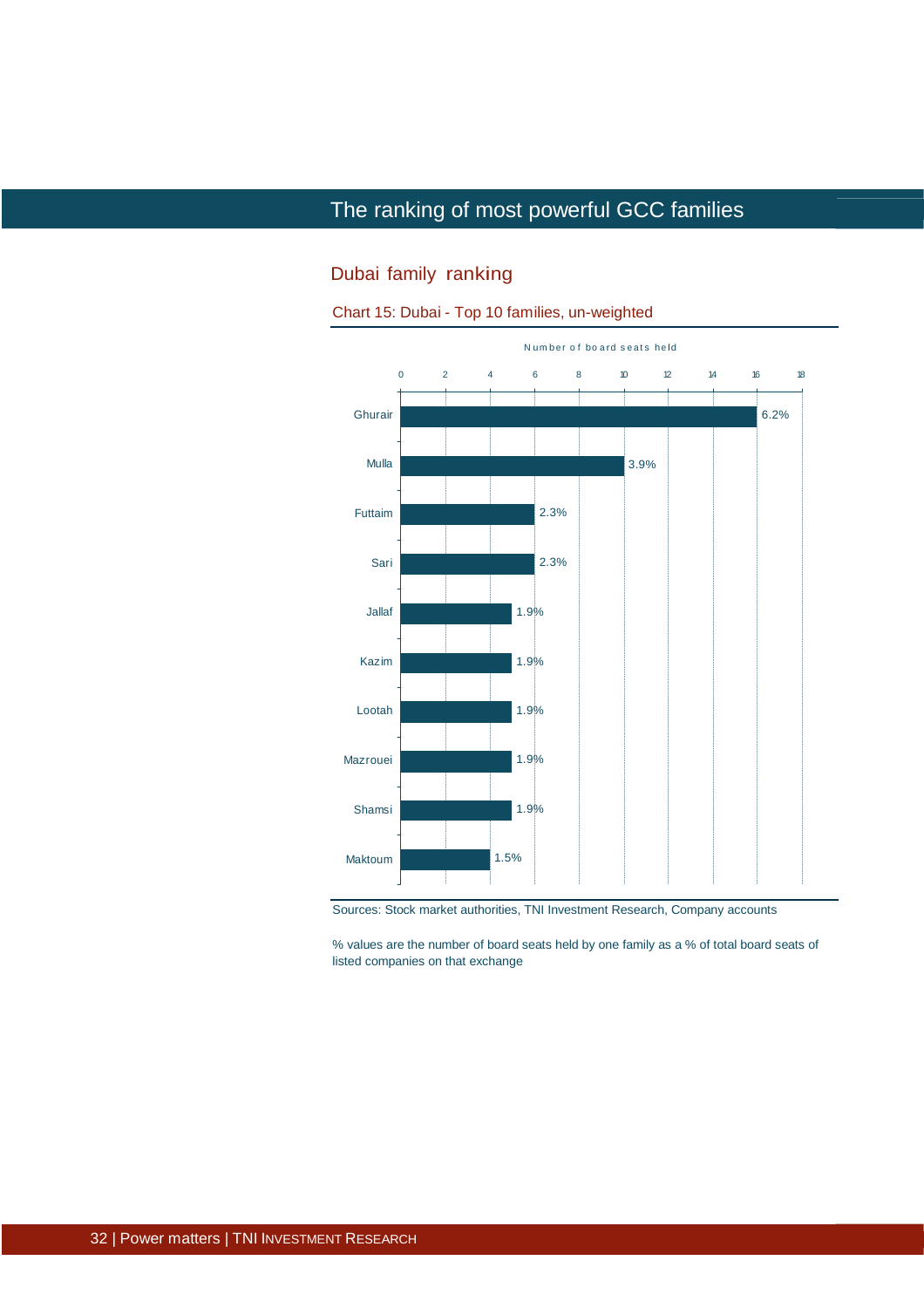## Dubai family ranking

Chart 15: Dubai - Top 10 families, un-weighted



Sources: Stock market authorities, TNI Investment Research, Company accounts

% values are the number of board seats held by one family as a % of total board seats of listed companies on that exchange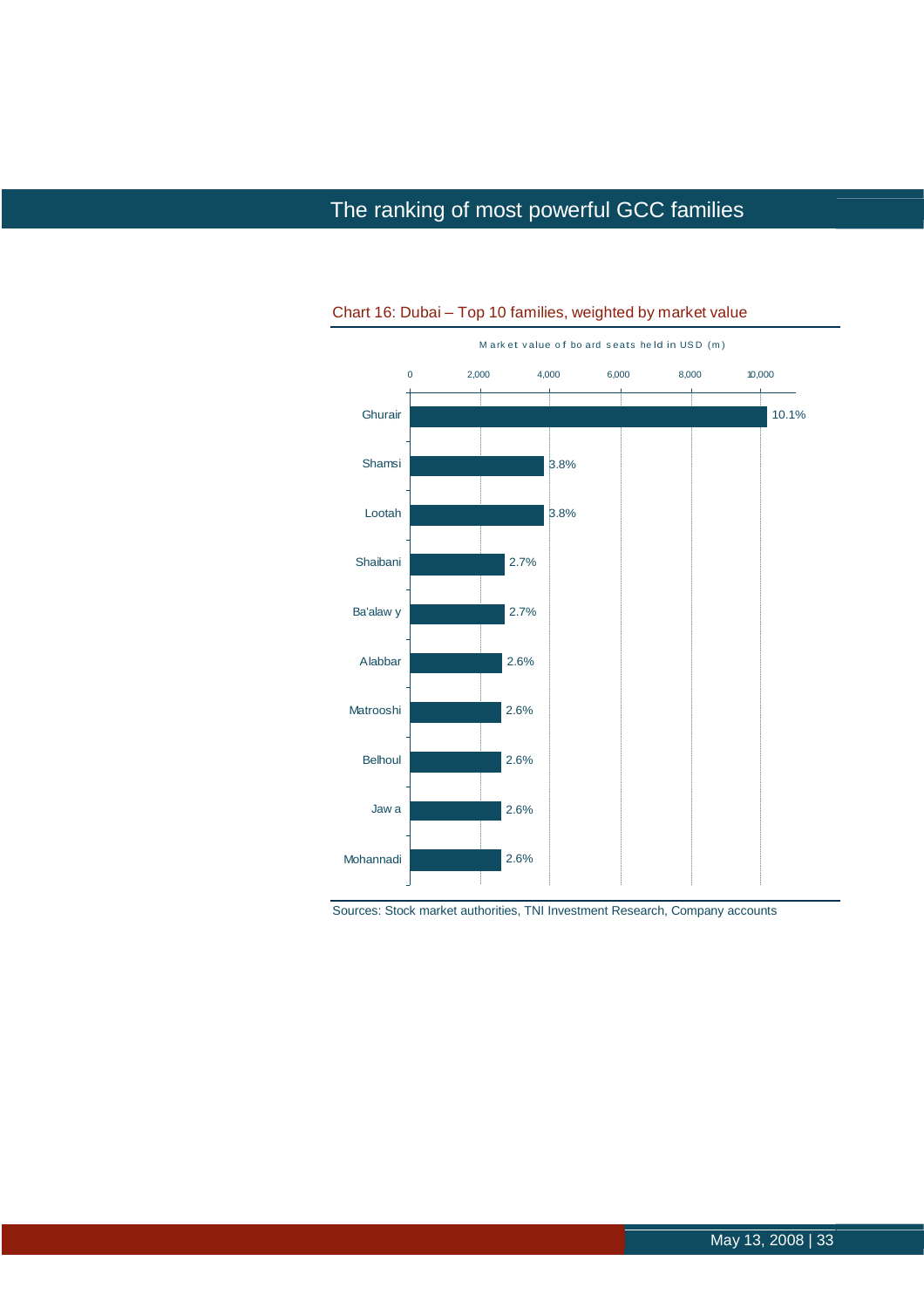

#### Chart 16: Dubai – Top 10 families, weighted by market value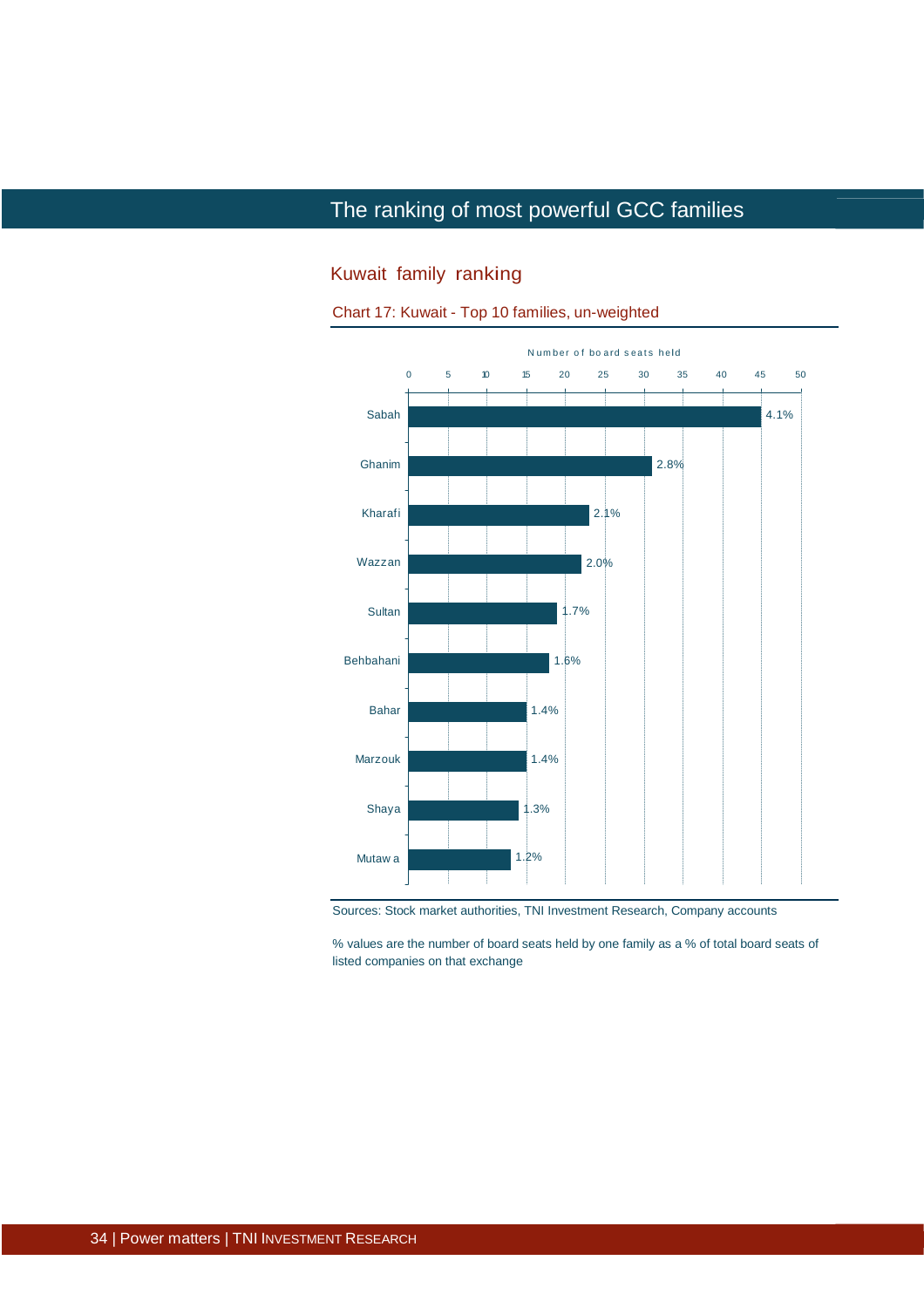### Kuwait family ranking

Chart 17: Kuwait - Top 10 families, un-weighted



Sources: Stock market authorities, TNI Investment Research, Company accounts

% values are the number of board seats held by one family as a % of total board seats of listed companies on that exchange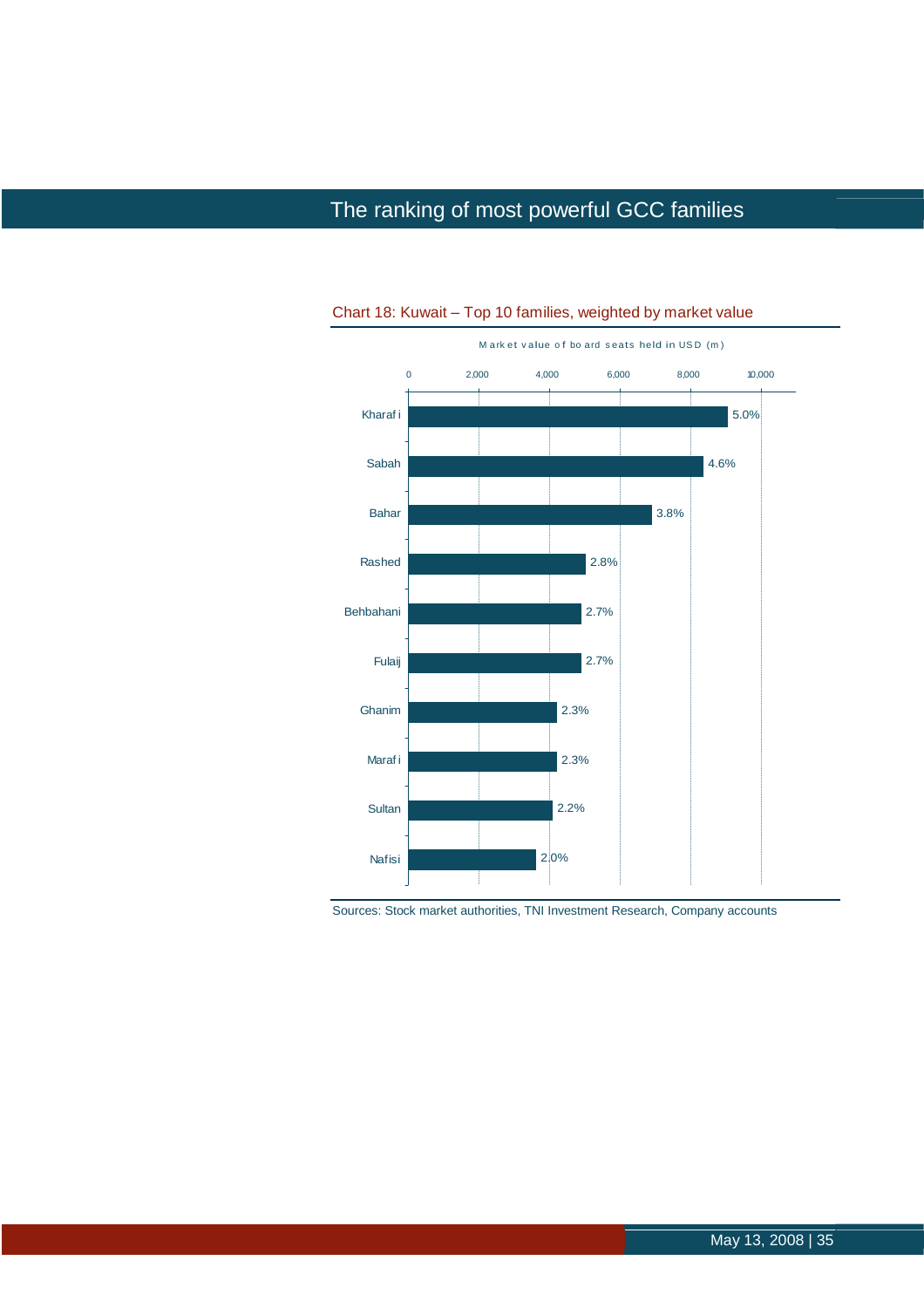

#### Chart 18: Kuwait – Top 10 families, weighted by market value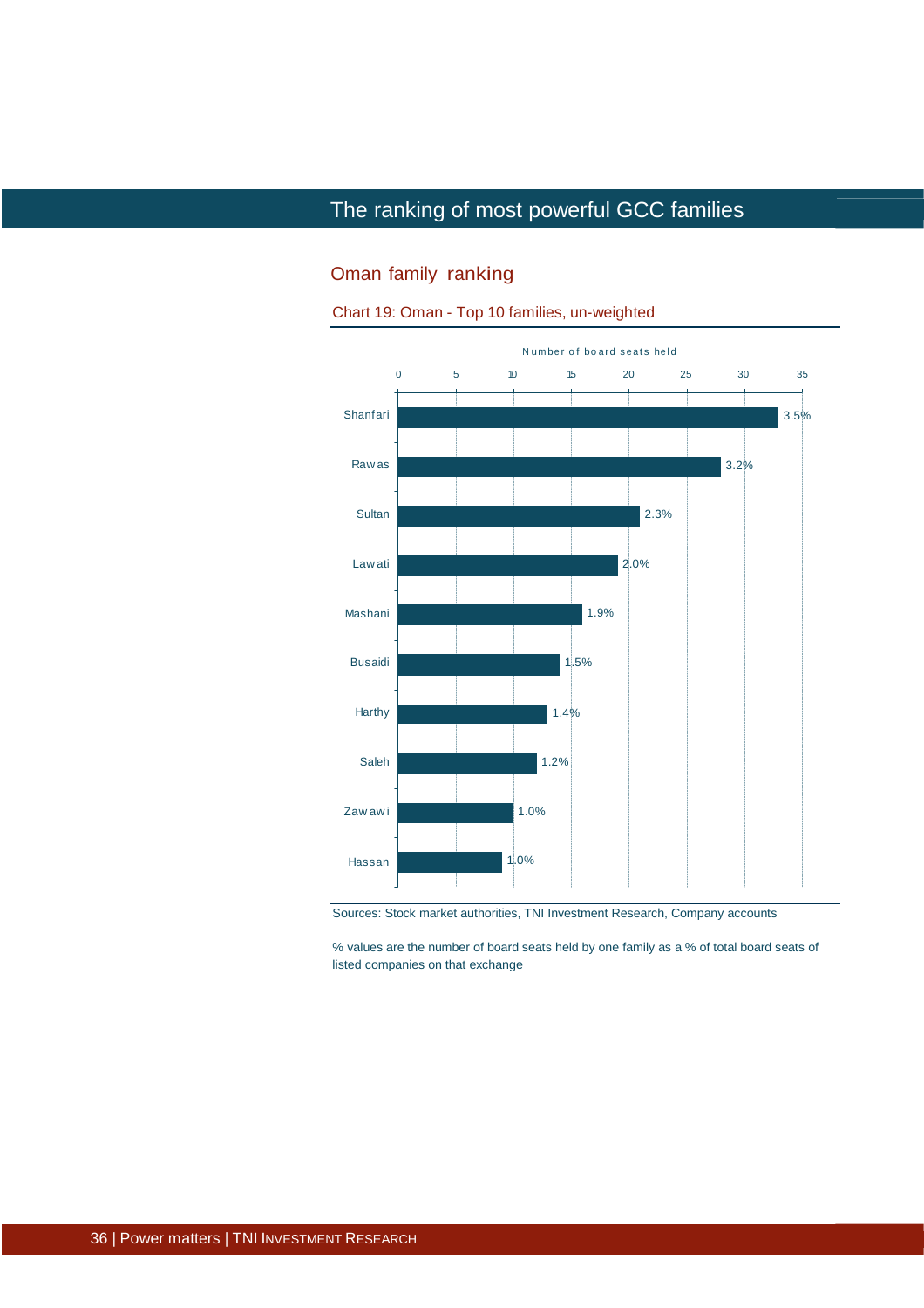### Oman family ranking

Chart 19: Oman - Top 10 families, un-weighted



Sources: Stock market authorities, TNI Investment Research, Company accounts

% values are the number of board seats held by one family as a % of total board seats of listed companies on that exchange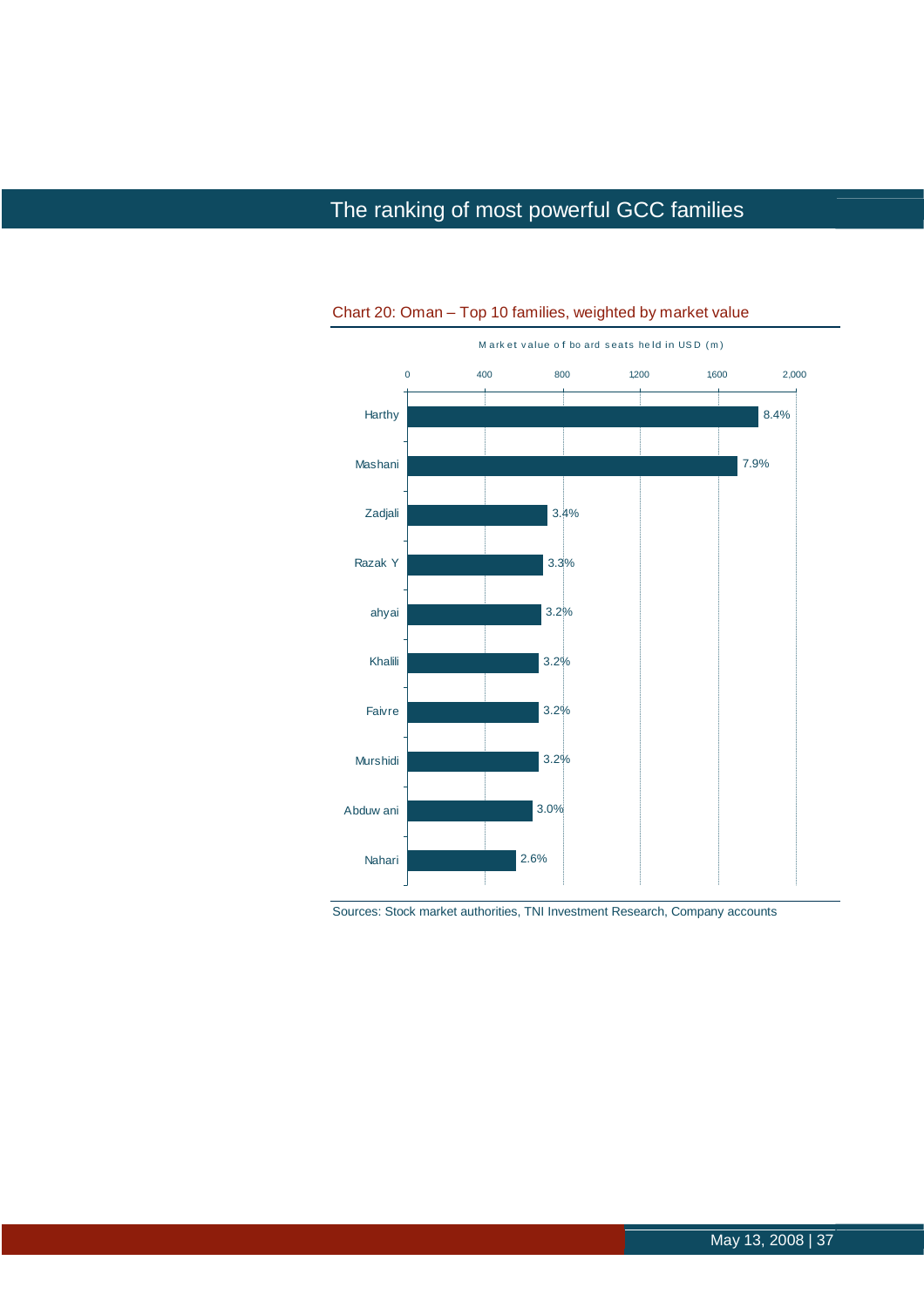

#### Chart 20: Oman – Top 10 families, weighted by market value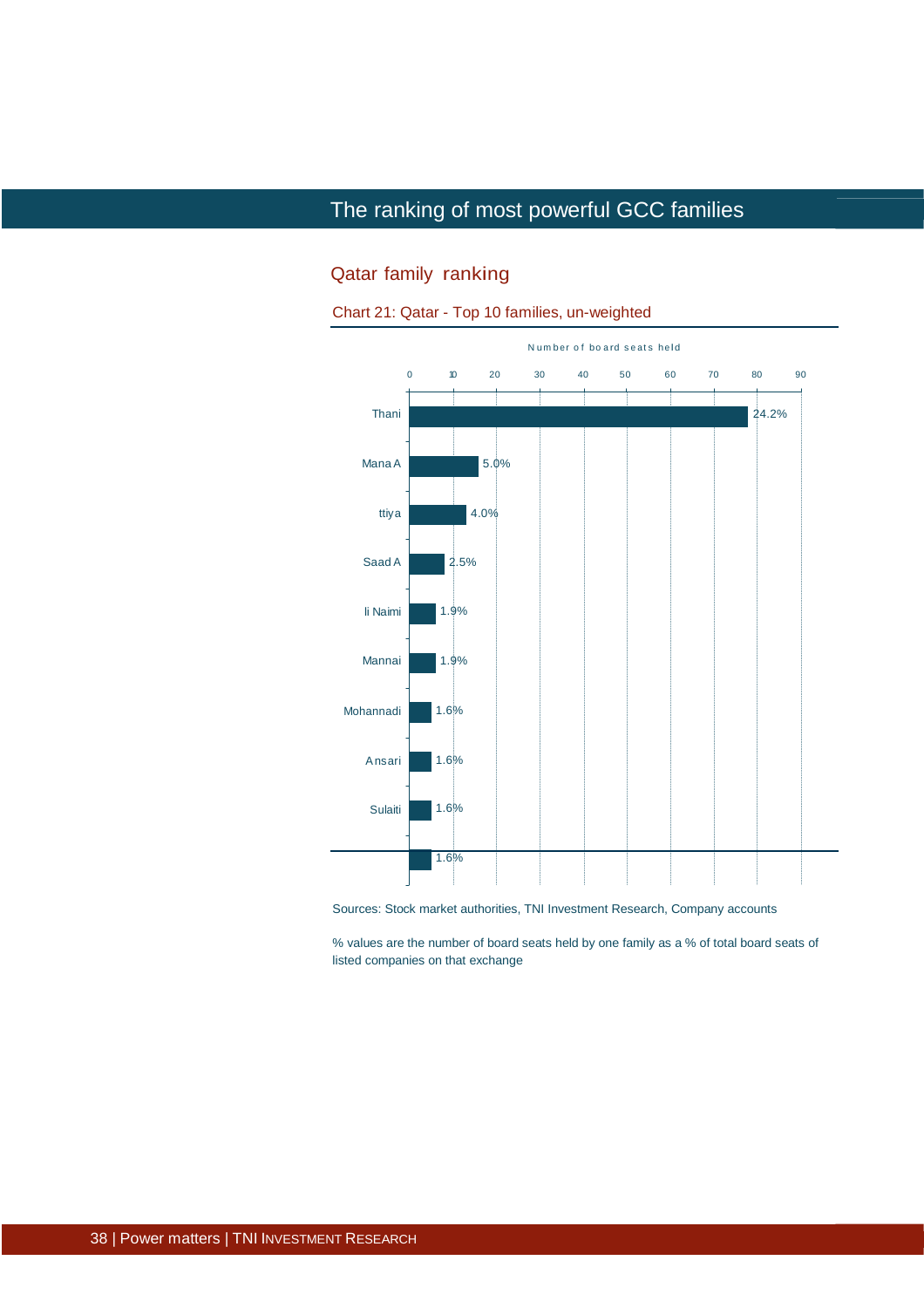### Qatar family ranking

Chart 21: Qatar - Top 10 families, un-weighted



Sources: Stock market authorities, TNI Investment Research, Company accounts

% values are the number of board seats held by one family as a % of total board seats of listed companies on that exchange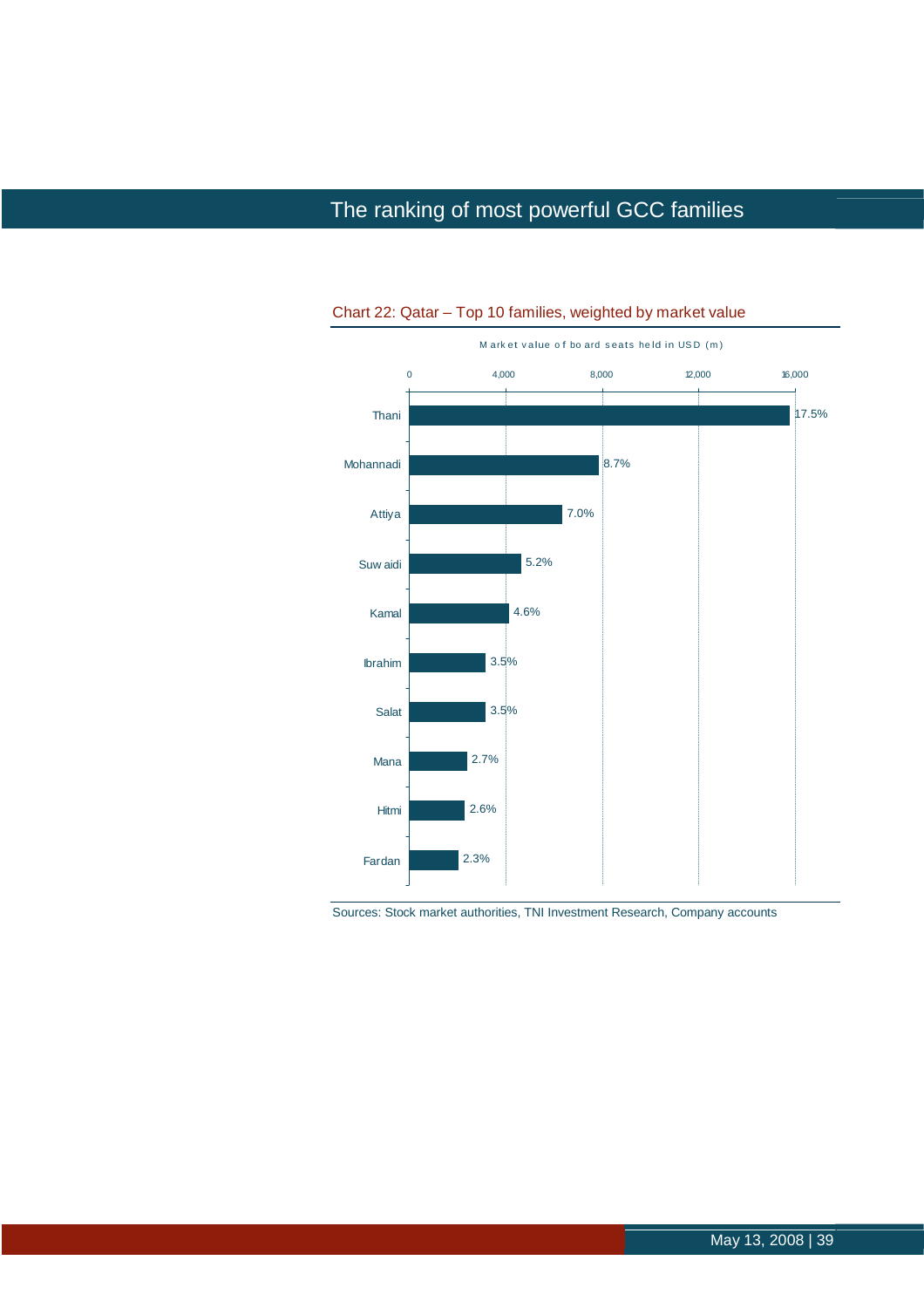

#### Chart 22: Qatar – Top 10 families, weighted by market value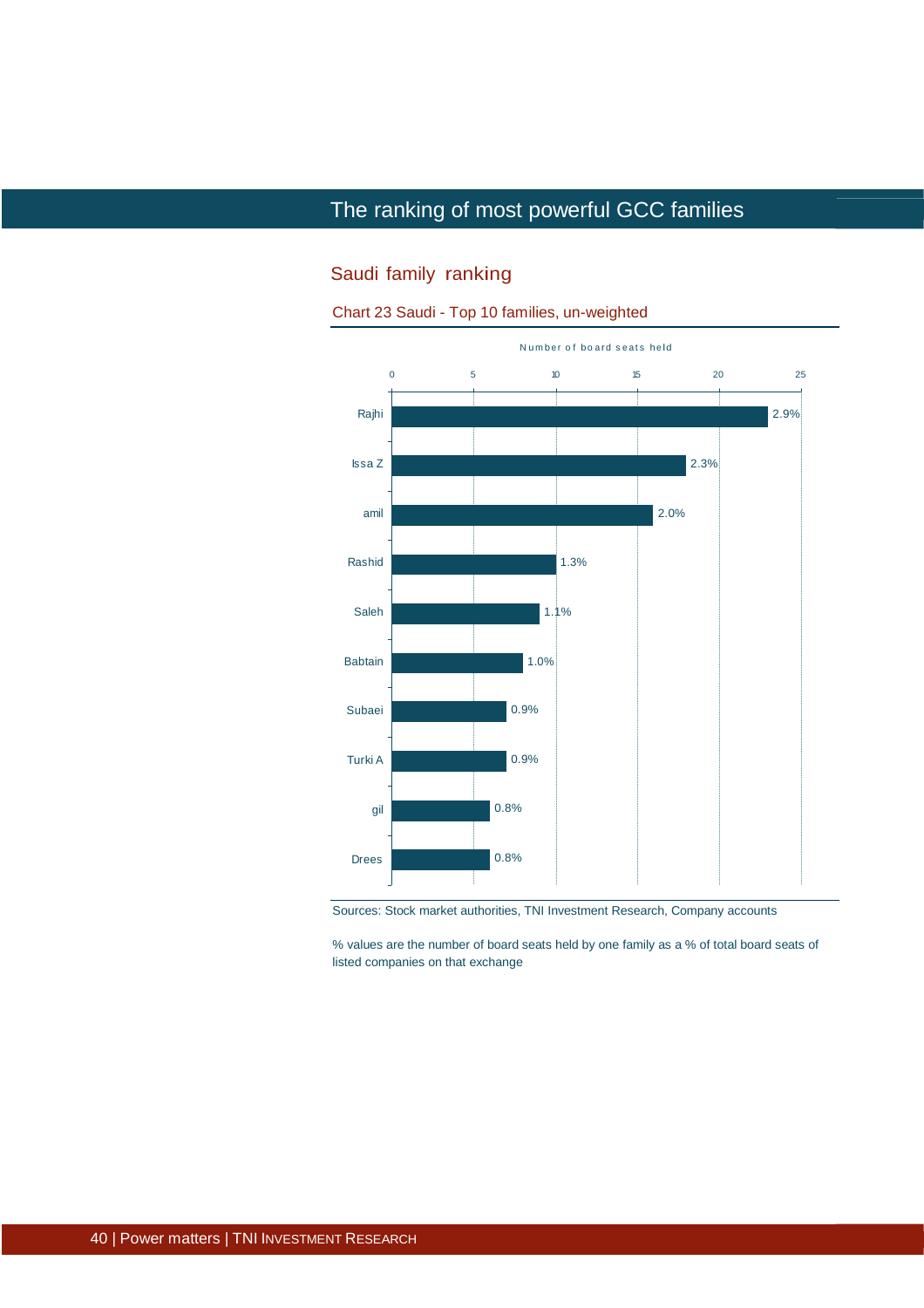### Saudi family ranking

Chart 23 Saudi - Top 10 families, un-weighted



Sources: Stock market authorities, TNI Investment Research, Company accounts

% values are the number of board seats held by one family as a % of total board seats of listed companies on that exchange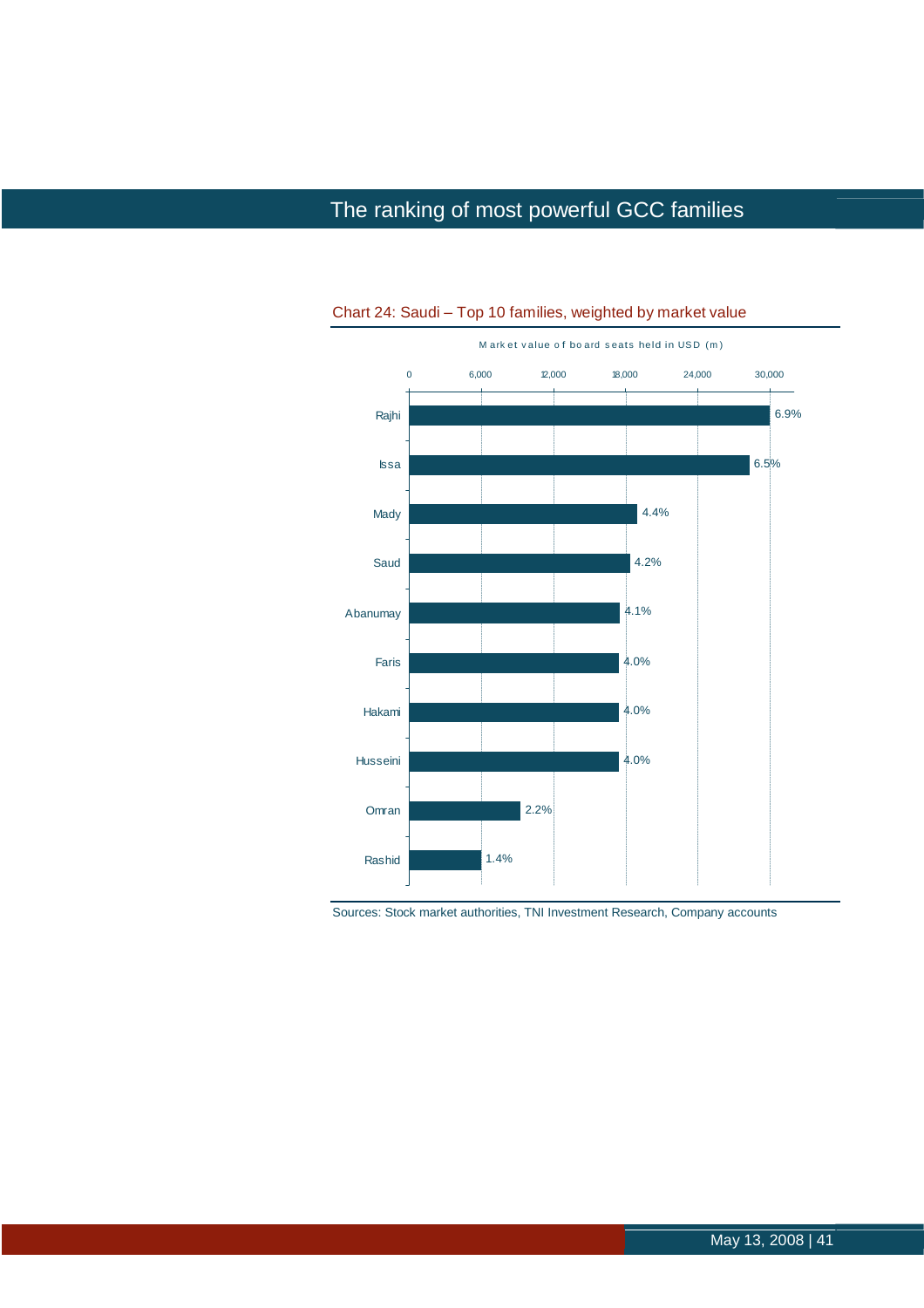

#### Chart 24: Saudi – Top 10 families, weighted by market value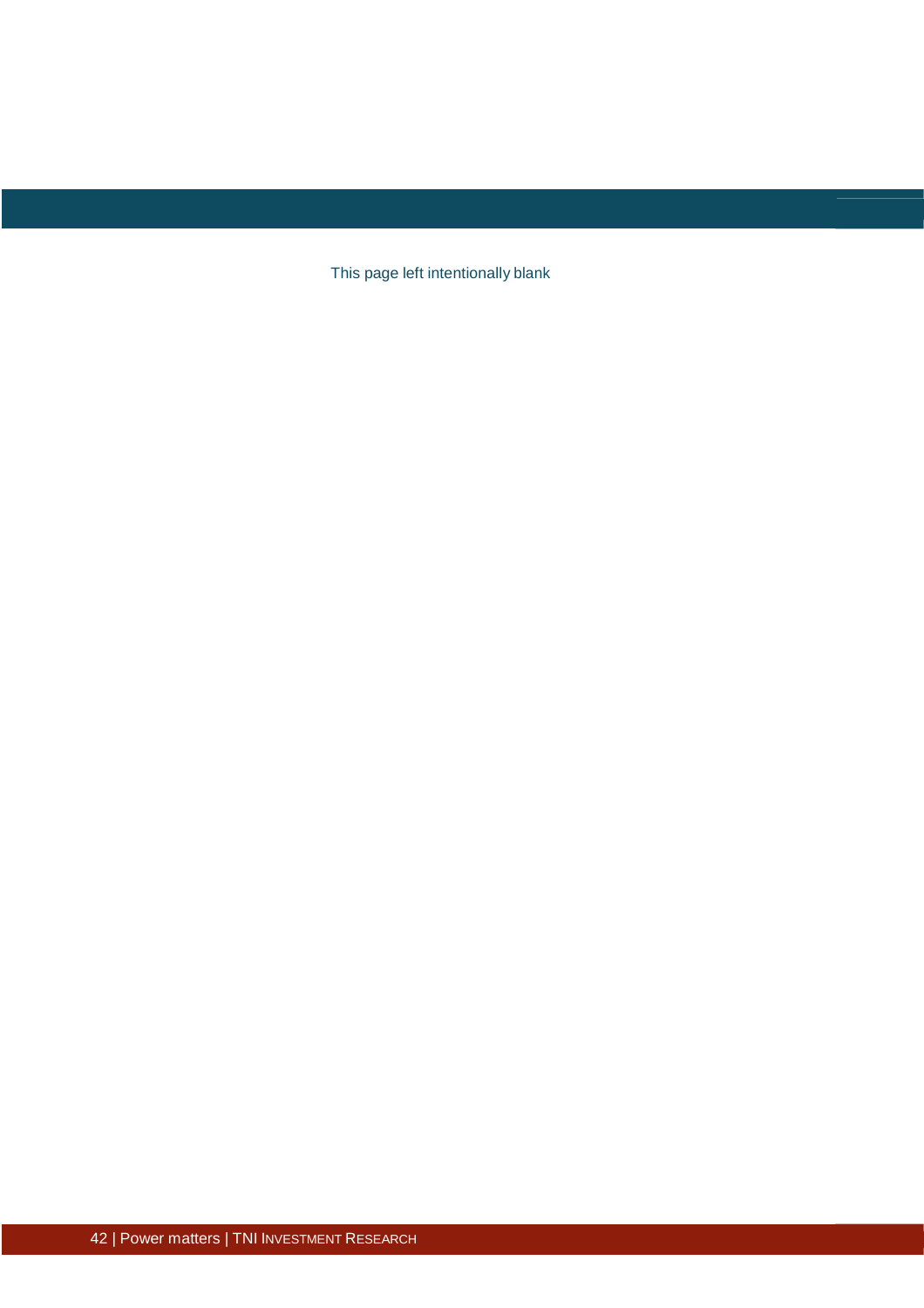This page left intentionally blank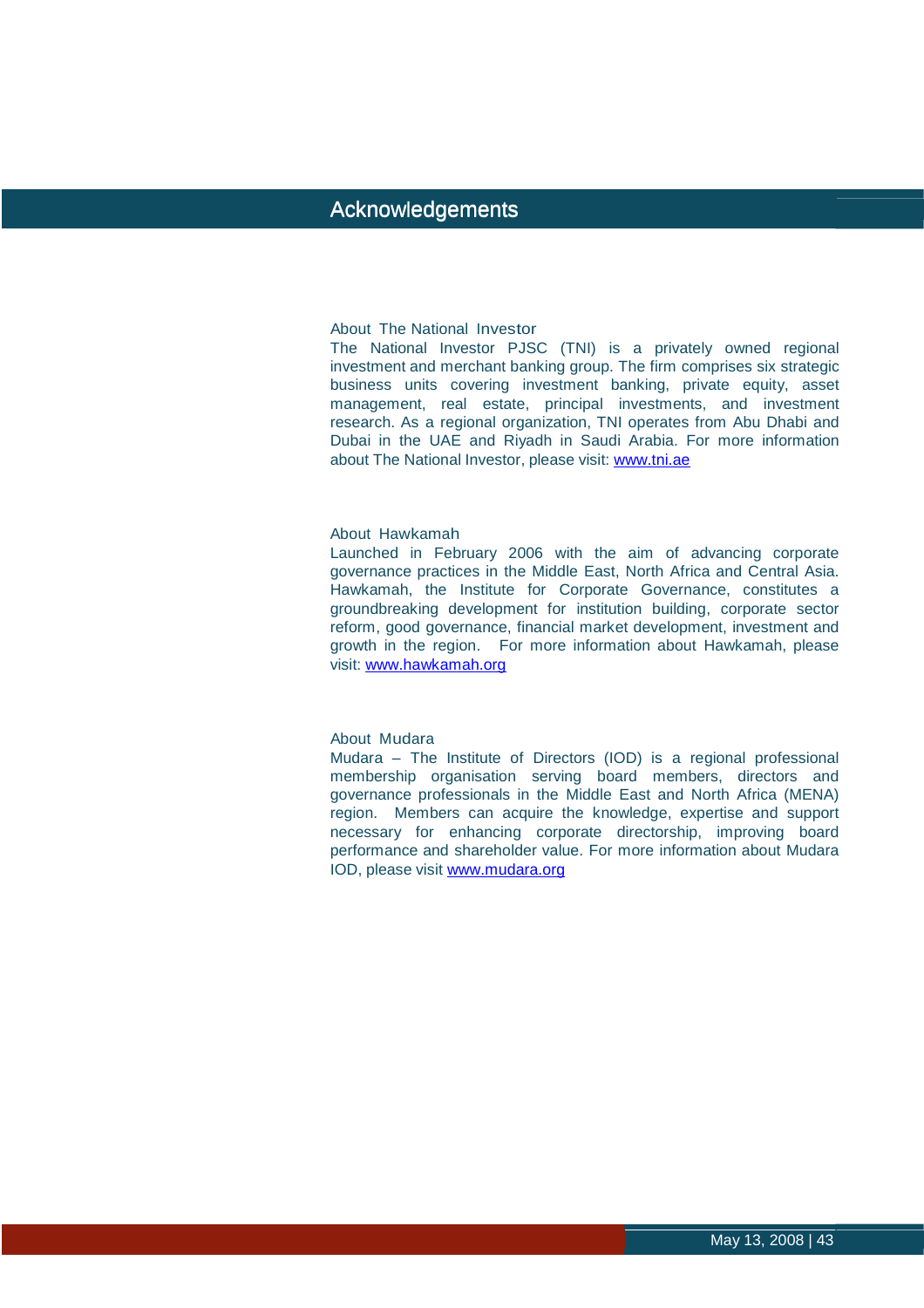### Acknowledgements

#### About The National Investor

The National Investor PJSC (TNI) is a privately owned regional investment and merchant banking group. The firm comprises six strategic business units covering investment banking, private equity, asset management, real estate, principal investments, and investment research. As a regional organization, TNI operates from Abu Dhabi and Dubai in the UAE and Riyadh in Saudi Arabia. For more information about The National Investor, please visit: [www.tni.ae](http://www.tni.ae/)

#### About Hawkamah

Launched in February 2006 with the aim of advancing corporate governance practices in the Middle East, North Africa and Central Asia. Hawkamah, the Institute for Corporate Governance, constitutes a groundbreaking development for institution building, corporate sector reform, good governance, financial market development, investment and growth in the region. For more information about Hawkamah, please visit: [www.hawkamah.org](http://www.hawkamah.org/)

#### About Mudara

Mudara – The Institute of Directors (IOD) is a regional professional membership organisation serving board members, directors and governance professionals in the Middle East and North Africa (MENA) region. Members can acquire the knowledge, expertise and support necessary for enhancing corporate directorship, improving board performance and shareholder value. For more information about Mudara IOD, please visit [www.mudara.org](http://www.mudara.org/)